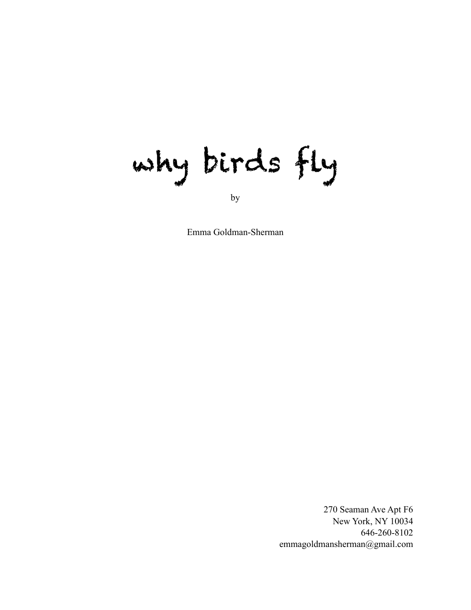why birds fly

by

Emma Goldman-Sherman

270 Seaman Ave Apt F6 New York, NY 10034 646-260-8102 emmagoldmansherman@gmail.com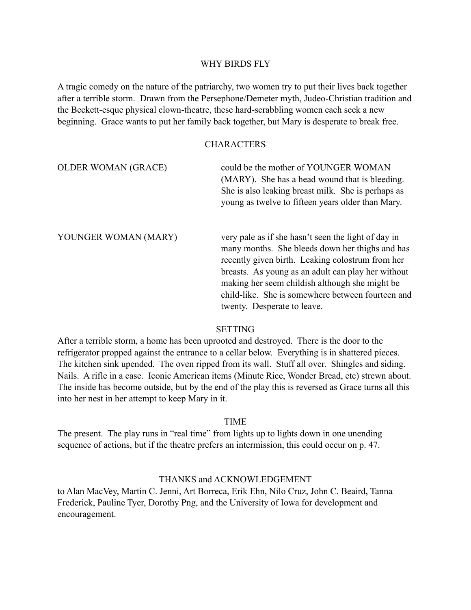## WHY BIRDS FLY

A tragic comedy on the nature of the patriarchy, two women try to put their lives back together after a terrible storm. Drawn from the Persephone/Demeter myth, Judeo-Christian tradition and the Beckett-esque physical clown-theatre, these hard-scrabbling women each seek a new beginning. Grace wants to put her family back together, but Mary is desperate to break free.

## **CHARACTERS**

OLDER WOMAN (GRACE) could be the mother of YOUNGER WOMAN (MARY). She has a head wound that is bleeding. She is also leaking breast milk. She is perhaps as young as twelve to fifteen years older than Mary. YOUNGER WOMAN (MARY) very pale as if she hasn't seen the light of day in many months. She bleeds down her thighs and has recently given birth. Leaking colostrum from her breasts. As young as an adult can play her without making her seem childish although she might be child-like. She is somewhere between fourteen and

#### **SETTING**

twenty. Desperate to leave.

After a terrible storm, a home has been uprooted and destroyed. There is the door to the refrigerator propped against the entrance to a cellar below. Everything is in shattered pieces. The kitchen sink upended. The oven ripped from its wall. Stuff all over. Shingles and siding. Nails. A rifle in a case. Iconic American items (Minute Rice, Wonder Bread, etc) strewn about. The inside has become outside, but by the end of the play this is reversed as Grace turns all this into her nest in her attempt to keep Mary in it.

## TIME

The present. The play runs in "real time" from lights up to lights down in one unending sequence of actions, but if the theatre prefers an intermission, this could occur on p. 47.

## THANKS and ACKNOWLEDGEMENT

to Alan MacVey, Martin C. Jenni, Art Borreca, Erik Ehn, Nilo Cruz, John C. Beaird, Tanna Frederick, Pauline Tyer, Dorothy Png, and the University of Iowa for development and encouragement.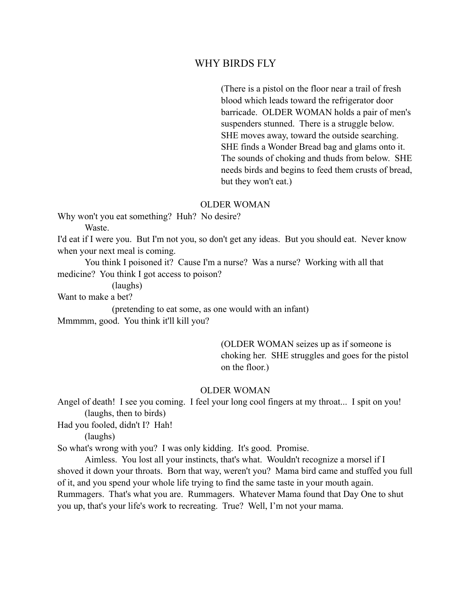## WHY BIRDS FLY

 (There is a pistol on the floor near a trail of fresh blood which leads toward the refrigerator door barricade. OLDER WOMAN holds a pair of men's suspenders stunned. There is a struggle below. SHE moves away, toward the outside searching. SHE finds a Wonder Bread bag and glams onto it. The sounds of choking and thuds from below. SHE needs birds and begins to feed them crusts of bread, but they won't eat.)

#### OLDER WOMAN

Why won't you eat something? Huh? No desire?

**Waste** 

I'd eat if I were you. But I'm not you, so don't get any ideas. But you should eat. Never know when your next meal is coming.

 You think I poisoned it? Cause I'm a nurse? Was a nurse? Working with all that medicine? You think I got access to poison?

(laughs)

Want to make a bet?

(pretending to eat some, as one would with an infant)

Mmmmm, good. You think it'll kill you?

 (OLDER WOMAN seizes up as if someone is choking her. SHE struggles and goes for the pistol on the floor.)

#### OLDER WOMAN

Angel of death! I see you coming. I feel your long cool fingers at my throat... I spit on you! (laughs, then to birds)

Had you fooled, didn't I? Hah!

(laughs)

So what's wrong with you? I was only kidding. It's good. Promise.

 Aimless. You lost all your instincts, that's what. Wouldn't recognize a morsel if I shoved it down your throats. Born that way, weren't you? Mama bird came and stuffed you full of it, and you spend your whole life trying to find the same taste in your mouth again. Rummagers. That's what you are. Rummagers. Whatever Mama found that Day One to shut you up, that's your life's work to recreating. True? Well, I'm not your mama.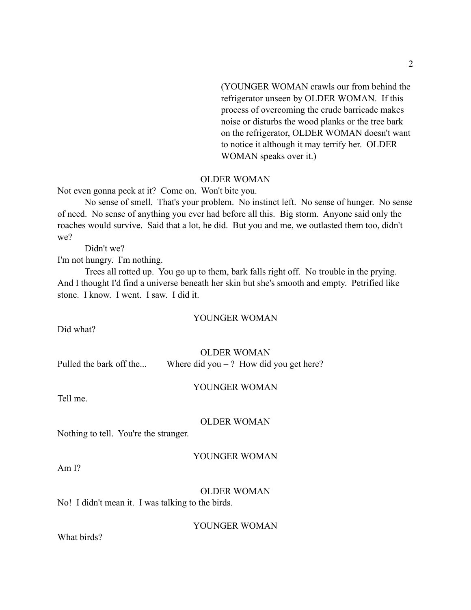(YOUNGER WOMAN crawls our from behind the refrigerator unseen by OLDER WOMAN. If this process of overcoming the crude barricade makes noise or disturbs the wood planks or the tree bark on the refrigerator, OLDER WOMAN doesn't want to notice it although it may terrify her. OLDER WOMAN speaks over it.)

## OLDER WOMAN

Not even gonna peck at it? Come on. Won't bite you.

 No sense of smell. That's your problem. No instinct left. No sense of hunger. No sense of need. No sense of anything you ever had before all this. Big storm. Anyone said only the roaches would survive. Said that a lot, he did. But you and me, we outlasted them too, didn't we?

Didn't we?

I'm not hungry. I'm nothing.

 Trees all rotted up. You go up to them, bark falls right off. No trouble in the prying. And I thought I'd find a universe beneath her skin but she's smooth and empty. Petrified like stone. I know. I went. I saw. I did it.

#### YOUNGER WOMAN

Did what?

#### OLDER WOMAN

Pulled the bark off the... Where did you – ? How did you get here?

#### YOUNGER WOMAN

Tell me.

#### OLDER WOMAN

Nothing to tell. You're the stranger.

#### YOUNGER WOMAN

Am I?

#### OLDER WOMAN

No! I didn't mean it. I was talking to the birds.

YOUNGER WOMAN

What birds?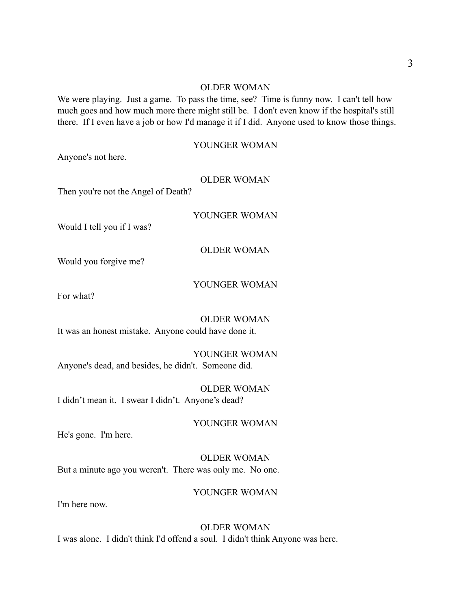#### OLDER WOMAN

We were playing. Just a game. To pass the time, see? Time is funny now. I can't tell how much goes and how much more there might still be. I don't even know if the hospital's still there. If I even have a job or how I'd manage it if I did. Anyone used to know those things.

## YOUNGER WOMAN

Anyone's not here.

## OLDER WOMAN

Then you're not the Angel of Death?

YOUNGER WOMAN

Would I tell you if I was?

OLDER WOMAN

Would you forgive me?

## YOUNGER WOMAN

For what?

OLDER WOMAN It was an honest mistake. Anyone could have done it.

YOUNGER WOMAN Anyone's dead, and besides, he didn't. Someone did.

OLDER WOMAN I didn't mean it. I swear I didn't. Anyone's dead?

YOUNGER WOMAN

He's gone. I'm here.

OLDER WOMAN But a minute ago you weren't. There was only me. No one.

#### YOUNGER WOMAN

I'm here now.

## OLDER WOMAN I was alone. I didn't think I'd offend a soul. I didn't think Anyone was here.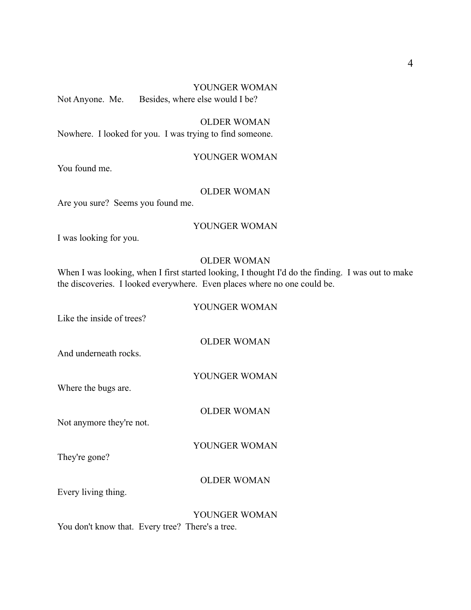# YOUNGER WOMAN

Not Anyone. Me. Besides, where else would I be?

OLDER WOMAN Nowhere. I looked for you. I was trying to find someone.

## YOUNGER WOMAN

You found me.

## OLDER WOMAN

Are you sure? Seems you found me.

## YOUNGER WOMAN

I was looking for you.

## OLDER WOMAN

When I was looking, when I first started looking, I thought I'd do the finding. I was out to make the discoveries. I looked everywhere. Even places where no one could be.

## YOUNGER WOMAN

Like the inside of trees?

OLDER WOMAN

And underneath rocks.

## YOUNGER WOMAN

Where the bugs are.

OLDER WOMAN

Not anymore they're not.

YOUNGER WOMAN

They're gone?

## OLDER WOMAN

Every living thing.

YOUNGER WOMAN You don't know that. Every tree? There's a tree.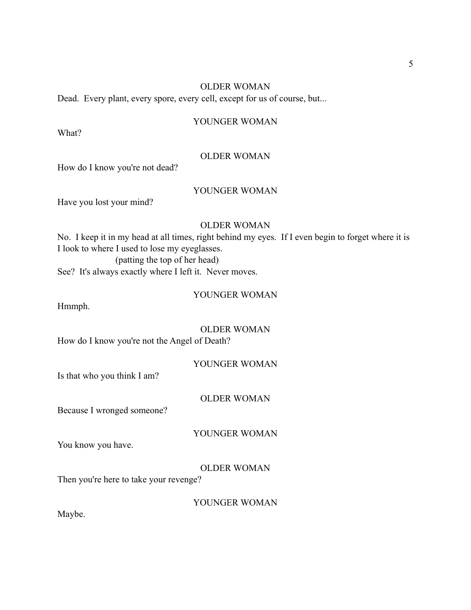## OLDER WOMAN

Dead. Every plant, every spore, every cell, except for us of course, but...

#### YOUNGER WOMAN

What?

#### OLDER WOMAN

How do I know you're not dead?

## YOUNGER WOMAN

Have you lost your mind?

## OLDER WOMAN

No. I keep it in my head at all times, right behind my eyes. If I even begin to forget where it is I look to where I used to lose my eyeglasses. (patting the top of her head)

See? It's always exactly where I left it. Never moves.

## YOUNGER WOMAN

Hmmph.

OLDER WOMAN How do I know you're not the Angel of Death?

#### YOUNGER WOMAN

Is that who you think I am?

## OLDER WOMAN

Because I wronged someone?

YOUNGER WOMAN

You know you have.

#### OLDER WOMAN

Then you're here to take your revenge?

YOUNGER WOMAN

Maybe.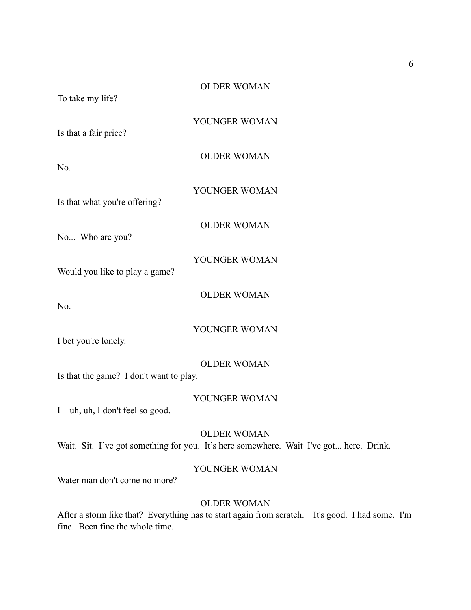YOUNGER WOMAN

Is that a fair price?

OLDER WOMAN

No.

Is that what you're offering?

OLDER WOMAN

YOUNGER WOMAN

No... Who are you?

YOUNGER WOMAN

Would you like to play a game?

OLDER WOMAN

No.

YOUNGER WOMAN

I bet you're lonely.

## OLDER WOMAN

Is that the game? I don't want to play.

## YOUNGER WOMAN

I – uh, uh, I don't feel so good.

## OLDER WOMAN

Wait. Sit. I've got something for you. It's here somewhere. Wait I've got... here. Drink.

## YOUNGER WOMAN

Water man don't come no more?

## OLDER WOMAN

After a storm like that? Everything has to start again from scratch. It's good. I had some. I'm fine. Been fine the whole time.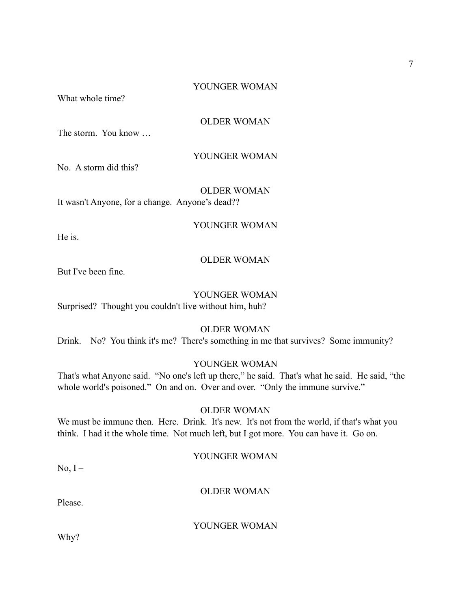7

## YOUNGER WOMAN

What whole time?

## OLDER WOMAN

The storm. You know …

## YOUNGER WOMAN

No. A storm did this?

OLDER WOMAN It wasn't Anyone, for a change. Anyone's dead??

He is.

#### OLDER WOMAN

YOUNGER WOMAN

But I've been fine.

## YOUNGER WOMAN

Surprised? Thought you couldn't live without him, huh?

## OLDER WOMAN

Drink. No? You think it's me? There's something in me that survives? Some immunity?

#### YOUNGER WOMAN

That's what Anyone said. "No one's left up there," he said. That's what he said. He said, "the whole world's poisoned." On and on. Over and over. "Only the immune survive."

#### OLDER WOMAN

We must be immune then. Here. Drink. It's new. It's not from the world, if that's what you think. I had it the whole time. Not much left, but I got more. You can have it. Go on.

## YOUNGER WOMAN

 $No, I -$ 

#### OLDER WOMAN

Please.

## YOUNGER WOMAN

Why?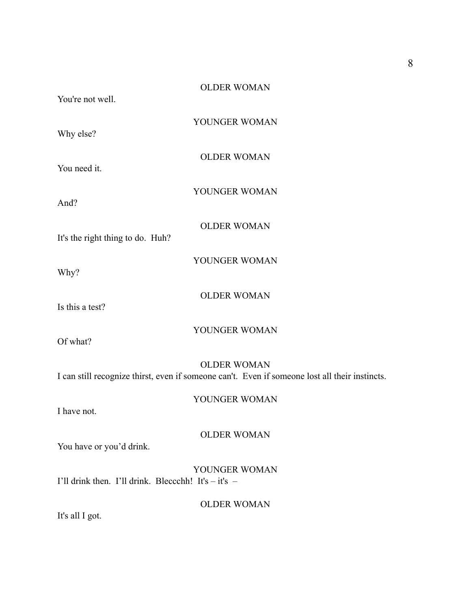| You're not well. | <b>OLDER WOMAN</b> |
|------------------|--------------------|
| Why else?        | YOUNGER WOMAN      |

You need it.

And?

It's the right thing to do. Huh?

YOUNGER WOMAN

OLDER WOMAN

OLDER WOMAN

YOUNGER WOMAN

Why?

OLDER WOMAN

Is this a test?

YOUNGER WOMAN

Of what?

## OLDER WOMAN

I can still recognize thirst, even if someone can't. Even if someone lost all their instincts.

YOUNGER WOMAN

I have not.

OLDER WOMAN

You have or you'd drink.

YOUNGER WOMAN I'll drink then. I'll drink. Bleccchh! It's  $-$  it's  $-$ 

OLDER WOMAN

It's all I got.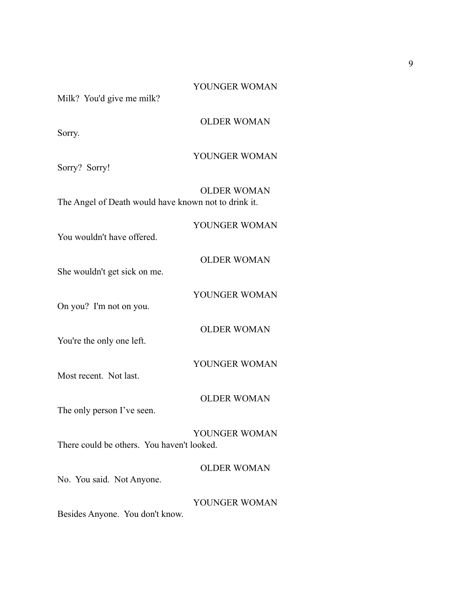| <b>OLDER WOMAN</b>                                                         |
|----------------------------------------------------------------------------|
| YOUNGER WOMAN                                                              |
| <b>OLDER WOMAN</b><br>The Angel of Death would have known not to drink it. |
| YOUNGER WOMAN                                                              |
| <b>OLDER WOMAN</b>                                                         |
| YOUNGER WOMAN                                                              |
| <b>OLDER WOMAN</b>                                                         |
| YOUNGER WOMAN                                                              |
| <b>OLDER WOMAN</b>                                                         |
| YOUNGER WOMAN                                                              |
| <b>OLDER WOMAN</b>                                                         |
| YOUNGER WOMAN                                                              |
|                                                                            |

9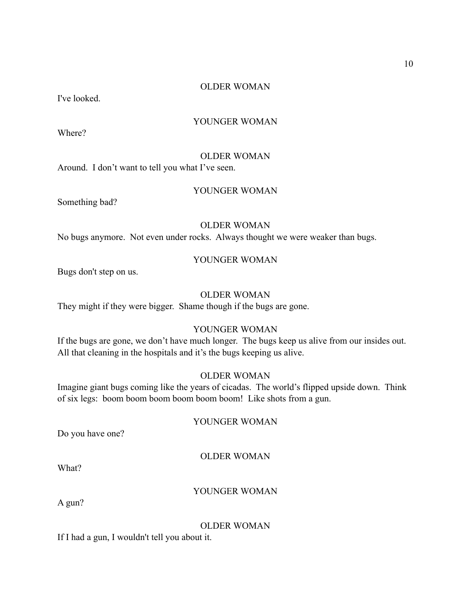## OLDER WOMAN

I've looked.

#### YOUNGER WOMAN

Where?

#### OLDER WOMAN

Around. I don't want to tell you what I've seen.

## YOUNGER WOMAN

Something bad?

## OLDER WOMAN

No bugs anymore. Not even under rocks. Always thought we were weaker than bugs.

## YOUNGER WOMAN

Bugs don't step on us.

## OLDER WOMAN

They might if they were bigger. Shame though if the bugs are gone.

## YOUNGER WOMAN

If the bugs are gone, we don't have much longer. The bugs keep us alive from our insides out. All that cleaning in the hospitals and it's the bugs keeping us alive.

## OLDER WOMAN

Imagine giant bugs coming like the years of cicadas. The world's flipped upside down. Think of six legs: boom boom boom boom boom boom! Like shots from a gun.

#### YOUNGER WOMAN

Do you have one?

#### OLDER WOMAN

What?

#### YOUNGER WOMAN

A gun?

#### OLDER WOMAN

If I had a gun, I wouldn't tell you about it.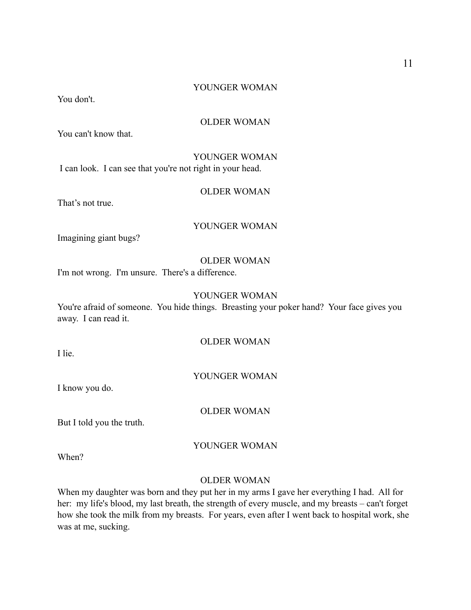## YOUNGER WOMAN

You don't.

## OLDER WOMAN

You can't know that.

YOUNGER WOMAN I can look. I can see that you're not right in your head.

## OLDER WOMAN

That's not true.

## YOUNGER WOMAN

Imagining giant bugs?

#### OLDER WOMAN

I'm not wrong. I'm unsure. There's a difference.

## YOUNGER WOMAN

You're afraid of someone. You hide things. Breasting your poker hand? Your face gives you away. I can read it.

## OLDER WOMAN

I lie.

#### YOUNGER WOMAN

I know you do.

OLDER WOMAN

But I told you the truth.

#### YOUNGER WOMAN

When?

## OLDER WOMAN

When my daughter was born and they put her in my arms I gave her everything I had. All for her: my life's blood, my last breath, the strength of every muscle, and my breasts – can't forget how she took the milk from my breasts. For years, even after I went back to hospital work, she was at me, sucking.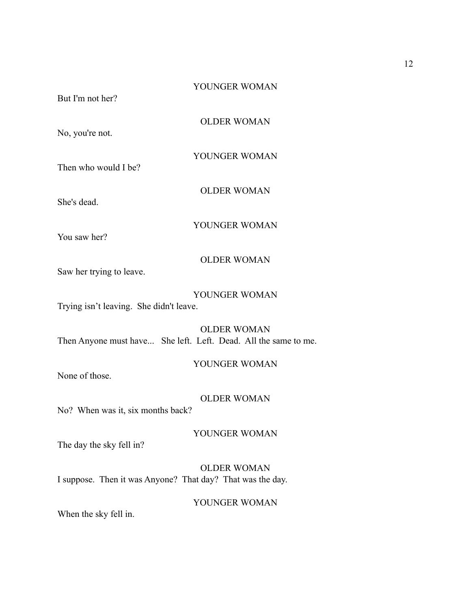But I'm not her?

OLDER WOMAN

No, you're not.

YOUNGER WOMAN

Then who would I be?

She's dead.

YOUNGER WOMAN

OLDER WOMAN

You saw her?

## OLDER WOMAN

Saw her trying to leave.

#### YOUNGER WOMAN

Trying isn't leaving. She didn't leave.

OLDER WOMAN Then Anyone must have... She left. Left. Dead. All the same to me.

YOUNGER WOMAN

None of those.

## OLDER WOMAN

No? When was it, six months back?

YOUNGER WOMAN

The day the sky fell in?

OLDER WOMAN I suppose. Then it was Anyone? That day? That was the day.

## YOUNGER WOMAN

When the sky fell in.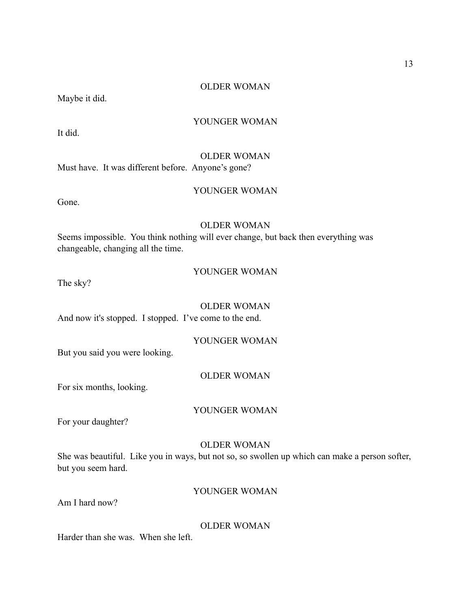## OLDER WOMAN

Maybe it did.

## YOUNGER WOMAN

It did.

#### OLDER WOMAN

Must have. It was different before. Anyone's gone?

## YOUNGER WOMAN

Gone.

## OLDER WOMAN

Seems impossible. You think nothing will ever change, but back then everything was changeable, changing all the time.

## YOUNGER WOMAN

The sky?

## OLDER WOMAN

And now it's stopped. I stopped. I've come to the end.

## YOUNGER WOMAN

But you said you were looking.

## OLDER WOMAN

For six months, looking.

#### YOUNGER WOMAN

For your daughter?

## OLDER WOMAN

She was beautiful. Like you in ways, but not so, so swollen up which can make a person softer, but you seem hard.

## YOUNGER WOMAN

Am I hard now?

OLDER WOMAN

Harder than she was. When she left.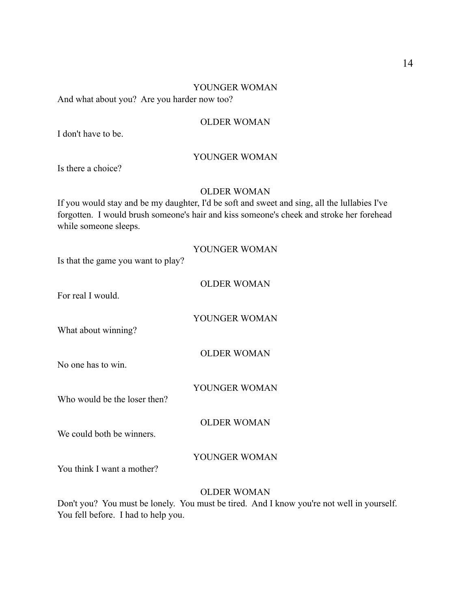#### YOUNGER WOMAN

And what about you? Are you harder now too?

## OLDER WOMAN

I don't have to be.

## YOUNGER WOMAN

Is there a choice?

## OLDER WOMAN

If you would stay and be my daughter, I'd be soft and sweet and sing, all the lullabies I've forgotten. I would brush someone's hair and kiss someone's cheek and stroke her forehead while someone sleeps.

| Is that the game you want to play? | YOUNGER WOMAN      |
|------------------------------------|--------------------|
| For real I would.                  | <b>OLDER WOMAN</b> |
| What about winning?                | YOUNGER WOMAN      |
| No one has to win.                 | <b>OLDER WOMAN</b> |
| Who would be the loser then?       | YOUNGER WOMAN      |
| We could both be winners.          | <b>OLDER WOMAN</b> |
| You think I want a mother?         | YOUNGER WOMAN      |

## OLDER WOMAN

Don't you? You must be lonely. You must be tired. And I know you're not well in yourself. You fell before. I had to help you.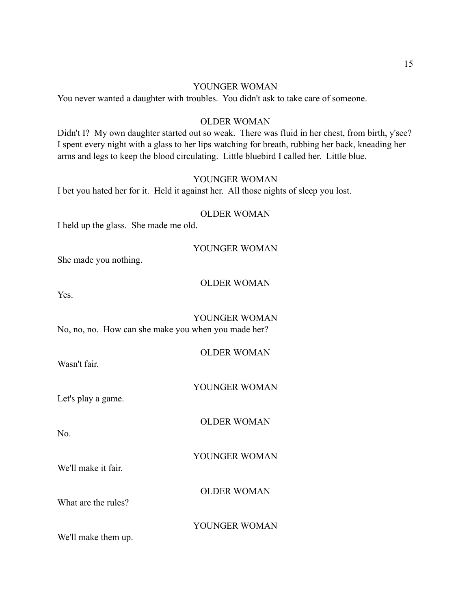## YOUNGER WOMAN

You never wanted a daughter with troubles. You didn't ask to take care of someone.

## OLDER WOMAN

Didn't I? My own daughter started out so weak. There was fluid in her chest, from birth, y'see? I spent every night with a glass to her lips watching for breath, rubbing her back, kneading her arms and legs to keep the blood circulating. Little bluebird I called her. Little blue.

## YOUNGER WOMAN

I bet you hated her for it. Held it against her. All those nights of sleep you lost.

## OLDER WOMAN

I held up the glass. She made me old.

#### YOUNGER WOMAN

She made you nothing.

#### OLDER WOMAN

Yes.

YOUNGER WOMAN No, no, no. How can she make you when you made her?

#### OLDER WOMAN

Wasn't fair.

YOUNGER WOMAN

Let's play a game.

OLDER WOMAN

No.

YOUNGER WOMAN

OLDER WOMAN

What are the rules?

We'll make it fair.

YOUNGER WOMAN

We'll make them up.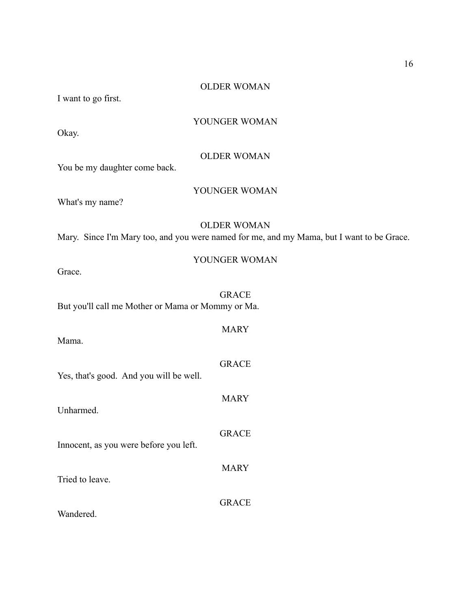#### OLDER WOMAN

I want to go first.

## YOUNGER WOMAN

Okay.

#### OLDER WOMAN

You be my daughter come back.

## YOUNGER WOMAN

What's my name?

## OLDER WOMAN

Mary. Since I'm Mary too, and you were named for me, and my Mama, but I want to be Grace.

| Grace |
|-------|
|-------|

GRACE But you'll call me Mother or Mama or Mommy or Ma.

Mama.

Yes, that's good. And you will be well.

Unharmed.

Innocent, as you were before you left.

Tried to leave.

Wandered.

YOUNGER WOMAN

**MARY** 

GRACE

MARY

GRACE

MARY

GRACE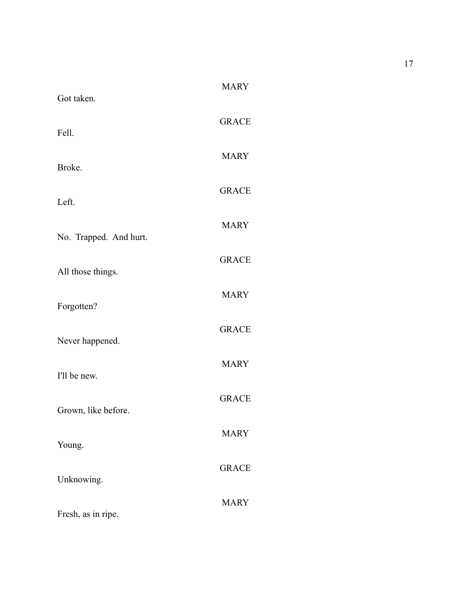| Got taken.             | <b>MARY</b>  |
|------------------------|--------------|
| Fell.                  | <b>GRACE</b> |
| Broke.                 | <b>MARY</b>  |
| Left.                  | <b>GRACE</b> |
| No. Trapped. And hurt. | <b>MARY</b>  |
|                        | <b>GRACE</b> |
| All those things.      | <b>MARY</b>  |
| Forgotten?             | <b>GRACE</b> |
| Never happened.        | <b>MARY</b>  |
| I'll be new.           | <b>GRACE</b> |
| Grown, like before.    | <b>MARY</b>  |
| Young.                 | <b>GRACE</b> |
| Unknowing.             | <b>MARY</b>  |
| Fresh, as in ripe.     |              |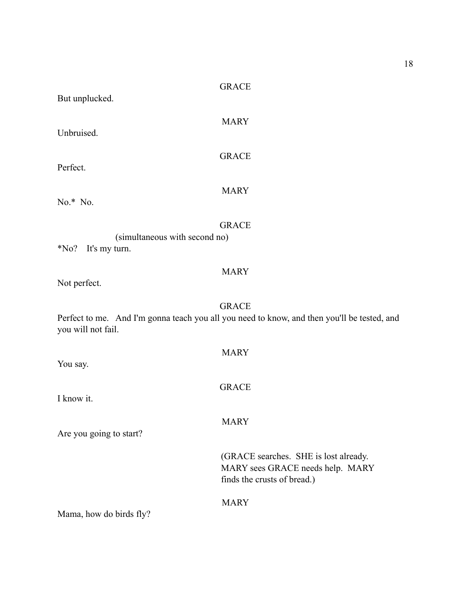| But unplucked.                                           | <b>GRACE</b>                                                                                                |
|----------------------------------------------------------|-------------------------------------------------------------------------------------------------------------|
| Unbruised.                                               | <b>MARY</b>                                                                                                 |
| Perfect.                                                 | <b>GRACE</b>                                                                                                |
| $No.* No.$                                               | <b>MARY</b>                                                                                                 |
| (simultaneous with second no)<br>$N0$ ?<br>It's my turn. | <b>GRACE</b>                                                                                                |
| Not perfect.                                             | <b>MARY</b>                                                                                                 |
| you will not fail.                                       | <b>GRACE</b><br>Perfect to me. And I'm gonna teach you all you need to know, and then you'll be tested, and |
| You say.                                                 | <b>MARY</b>                                                                                                 |
| I know it.                                               | <b>GRACE</b>                                                                                                |
| Are you going to start?                                  | <b>MARY</b>                                                                                                 |
|                                                          | (GRACE searches. SHE is lost already.<br>MARY sees GRACE needs help. MARY<br>finds the crusts of bread.)    |
| Mama, how do birds fly?                                  | <b>MARY</b>                                                                                                 |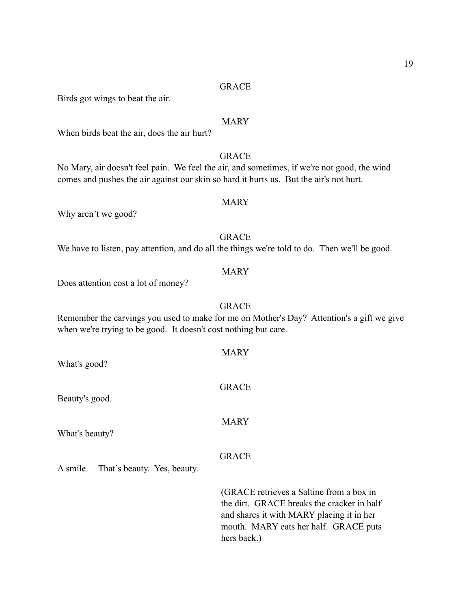Birds got wings to beat the air.

## MARY

When birds beat the air, does the air hurt?

## GRACE

MARY

No Mary, air doesn't feel pain. We feel the air, and sometimes, if we're not good, the wind comes and pushes the air against our skin so hard it hurts us. But the air's not hurt.

Why aren't we good?

GRACE We have to listen, pay attention, and do all the things we're told to do. Then we'll be good.

## MARY

GRACE

Does attention cost a lot of money?

Remember the carvings you used to make for me on Mother's Day? Attention's a gift we give when we're trying to be good. It doesn't cost nothing but care.

MARY

**GRACE** 

MARY

| What's good? |  |
|--------------|--|
|              |  |

Beauty's good.

What's beauty?

GRACE

A smile. That's beauty. Yes, beauty.

 (GRACE retrieves a Saltine from a box in the dirt. GRACE breaks the cracker in half and shares it with MARY placing it in her mouth. MARY eats her half. GRACE puts hers back.)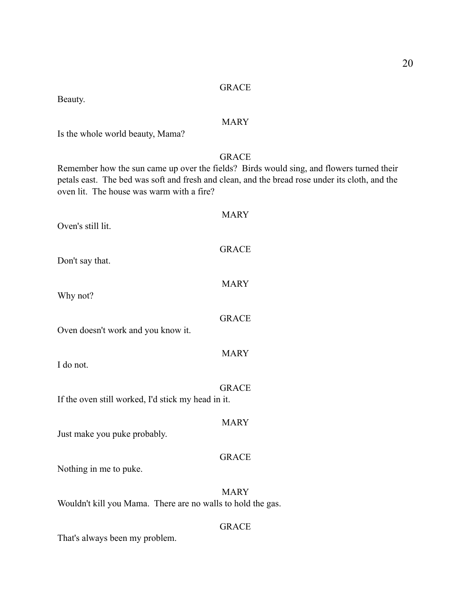Beauty.

## MARY

Is the whole world beauty, Mama?

## GRACE

Remember how the sun came up over the fields? Birds would sing, and flowers turned their petals east. The bed was soft and fresh and clean, and the bread rose under its cloth, and the oven lit. The house was warm with a fire?

| Oven's still lit.                                           | <b>MARY</b>  |
|-------------------------------------------------------------|--------------|
| Don't say that.                                             | <b>GRACE</b> |
| Why not?                                                    | <b>MARY</b>  |
| Oven doesn't work and you know it.                          | <b>GRACE</b> |
| I do not.                                                   | <b>MARY</b>  |
| If the oven still worked, I'd stick my head in it.          | <b>GRACE</b> |
| Just make you puke probably.                                | <b>MARY</b>  |
| Nothing in me to puke.                                      | <b>GRACE</b> |
| Wouldn't kill you Mama. There are no walls to hold the gas. | <b>MARY</b>  |

## GRACE

That's always been my problem.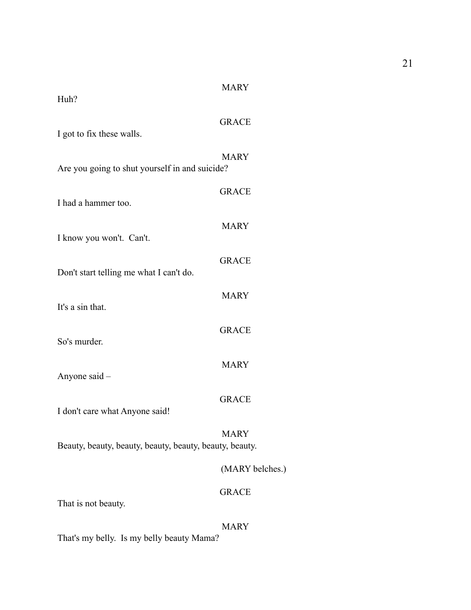| Huh?                                                    | <b>MARY</b>     |
|---------------------------------------------------------|-----------------|
| I got to fix these walls.                               | <b>GRACE</b>    |
| Are you going to shut yourself in and suicide?          | <b>MARY</b>     |
| I had a hammer too.                                     | <b>GRACE</b>    |
| I know you won't. Can't.                                | <b>MARY</b>     |
| Don't start telling me what I can't do.                 | <b>GRACE</b>    |
| It's a sin that.                                        | <b>MARY</b>     |
| So's murder.                                            | <b>GRACE</b>    |
| Anyone said -                                           | <b>MARY</b>     |
| I don't care what Anyone said!                          | <b>GRACE</b>    |
| Beauty, beauty, beauty, beauty, beauty, beauty, beauty. | MARY            |
|                                                         | (MARY belches.) |
| That is not beauty.                                     | <b>GRACE</b>    |
|                                                         | <b>MARY</b>     |

That's my belly. Is my belly beauty Mama?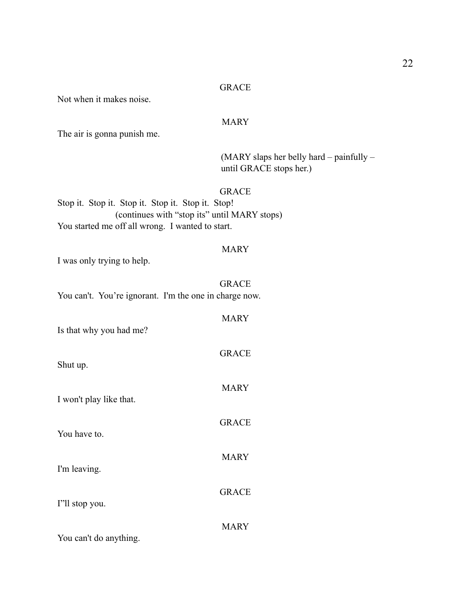Not when it makes noise.

## MARY

The air is gonna punish me.

 (MARY slaps her belly hard – painfully – until GRACE stops her.)

## GRACE

Stop it. Stop it. Stop it. Stop it. Stop it. Stop! (continues with "stop its" until MARY stops) You started me off all wrong. I wanted to start.

## MARY

I was only trying to help.

|                                                        | <b>GRACE</b> |
|--------------------------------------------------------|--------------|
| You can't. You're ignorant. I'm the one in charge now. |              |
| Is that why you had me?                                | <b>MARY</b>  |
| Shut up.                                               | <b>GRACE</b> |
| I won't play like that.                                | <b>MARY</b>  |
| You have to.                                           | <b>GRACE</b> |
| I'm leaving.                                           | <b>MARY</b>  |
| I''ll stop you.                                        | <b>GRACE</b> |
| You can't do anything.                                 | <b>MARY</b>  |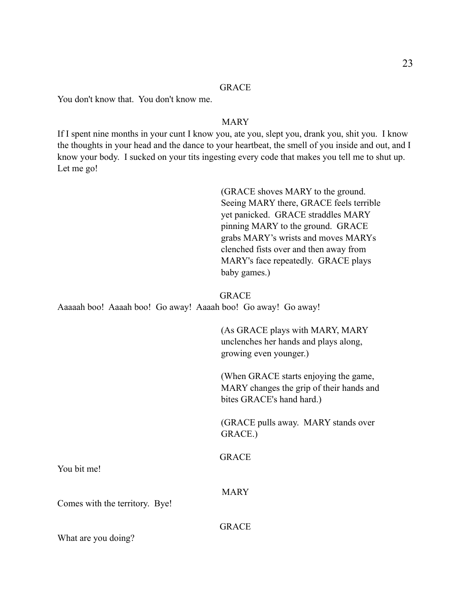You don't know that. You don't know me.

## MARY

If I spent nine months in your cunt I know you, ate you, slept you, drank you, shit you. I know the thoughts in your head and the dance to your heartbeat, the smell of you inside and out, and I know your body. I sucked on your tits ingesting every code that makes you tell me to shut up. Let me go!

> (GRACE shoves MARY to the ground. Seeing MARY there, GRACE feels terrible yet panicked. GRACE straddles MARY pinning MARY to the ground. GRACE grabs MARY's wrists and moves MARYs clenched fists over and then away from MARY's face repeatedly. GRACE plays baby games.)

## **GRACE**

Aaaaah boo! Aaaah boo! Go away! Aaaah boo! Go away! Go away!

 (As GRACE plays with MARY, MARY unclenches her hands and plays along, growing even younger.)

 (When GRACE starts enjoying the game, MARY changes the grip of their hands and bites GRACE's hand hard.)

 (GRACE pulls away. MARY stands over GRACE.)

GRACE

You bit me!

**MARY** 

Comes with the territory. Bye!

**GRACE** 

What are you doing?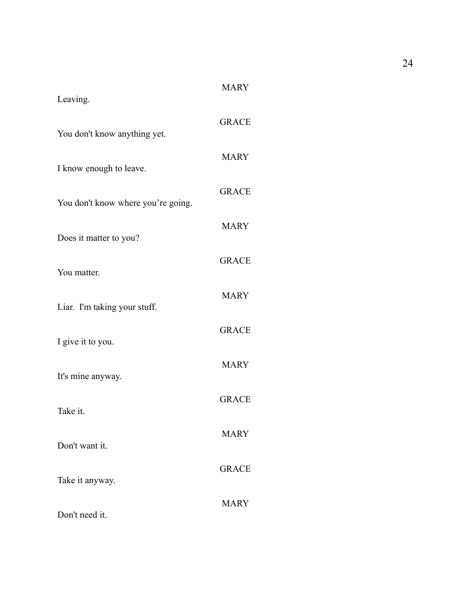| Leaving.                           | <b>MARY</b>  |
|------------------------------------|--------------|
| You don't know anything yet.       | <b>GRACE</b> |
| I know enough to leave.            | <b>MARY</b>  |
| You don't know where you're going. | <b>GRACE</b> |
| Does it matter to you?             | <b>MARY</b>  |
| You matter.                        | <b>GRACE</b> |
| Liar. I'm taking your stuff.       | <b>MARY</b>  |
| I give it to you.                  | <b>GRACE</b> |
| It's mine anyway.                  | <b>MARY</b>  |
| Take it.                           | <b>GRACE</b> |
|                                    | <b>MARY</b>  |
| Don't want it.                     | <b>GRACE</b> |
| Take it anyway.                    | <b>MARY</b>  |
| Don't need it.                     |              |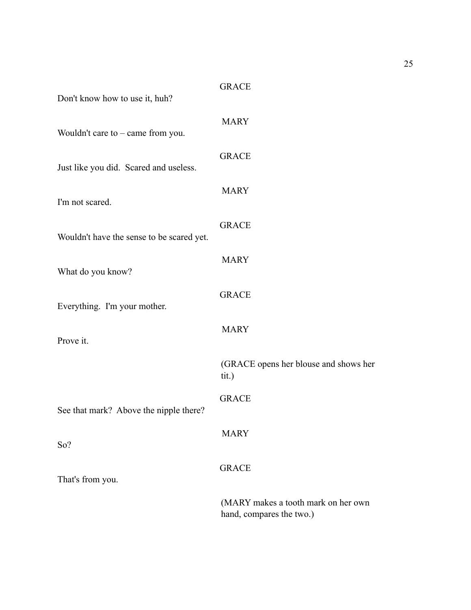| Don't know how to use it, huh?            | <b>GRACE</b>                                                    |
|-------------------------------------------|-----------------------------------------------------------------|
| Wouldn't care to $-$ came from you.       | <b>MARY</b>                                                     |
| Just like you did. Scared and useless.    | <b>GRACE</b>                                                    |
| I'm not scared.                           | <b>MARY</b>                                                     |
| Wouldn't have the sense to be scared yet. | <b>GRACE</b>                                                    |
| What do you know?                         | <b>MARY</b>                                                     |
| Everything. I'm your mother.              | <b>GRACE</b>                                                    |
| Prove it.                                 | <b>MARY</b>                                                     |
|                                           | (GRACE opens her blouse and shows her<br>tit.)                  |
| See that mark? Above the nipple there?    | <b>GRACE</b>                                                    |
| So?                                       | <b>MARY</b>                                                     |
| That's from you.                          | <b>GRACE</b>                                                    |
|                                           | (MARY makes a tooth mark on her own<br>hand, compares the two.) |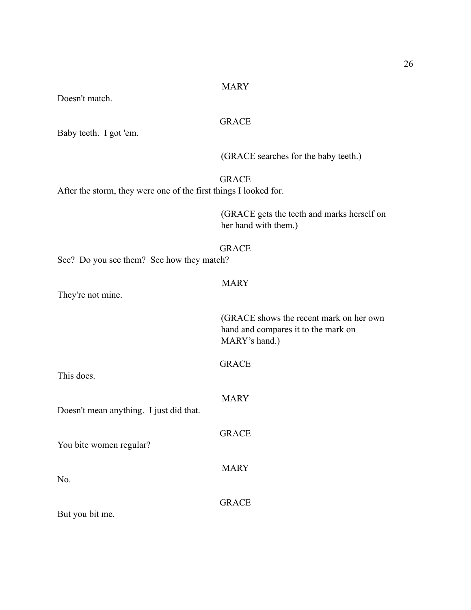## MARY

GRACE

**GRACE** 

Baby teeth. I got 'em. After the storm, they were one of the first things I looked for.

Doesn't match.

(GRACE searches for the baby teeth.)

 (GRACE gets the teeth and marks herself on her hand with them.)

## **GRACE**

See? Do you see them? See how they match?

## MARY

They're not mine.

 (GRACE shows the recent mark on her own hand and compares it to the mark on MARY's hand.)

| This does.                              | <b>GRACE</b> |
|-----------------------------------------|--------------|
| Doesn't mean anything. I just did that. | <b>MARY</b>  |
| You bite women regular?                 | <b>GRACE</b> |
| No.                                     | <b>MARY</b>  |
|                                         | GRACE        |

But you bit me.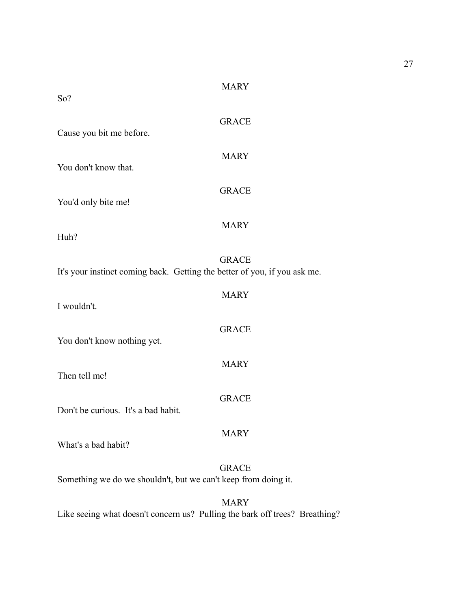| So?                                                                         | <b>MARY</b>  |
|-----------------------------------------------------------------------------|--------------|
| Cause you bit me before.                                                    | <b>GRACE</b> |
| You don't know that.                                                        | <b>MARY</b>  |
| You'd only bite me!                                                         | <b>GRACE</b> |
| Huh?                                                                        | <b>MARY</b>  |
| It's your instinct coming back. Getting the better of you, if you ask me.   | <b>GRACE</b> |
| I wouldn't.                                                                 | <b>MARY</b>  |
| You don't know nothing yet.                                                 | <b>GRACE</b> |
| Then tell me!                                                               | <b>MARY</b>  |
| Don't be curious. It's a bad habit.                                         | <b>GRACE</b> |
| What's a bad habit?                                                         | <b>MARY</b>  |
| Something we do we shouldn't, but we can't keep from doing it.              | <b>GRACE</b> |
| Like seeing what doesn't concern us? Pulling the bark off trees? Breathing? | <b>MARY</b>  |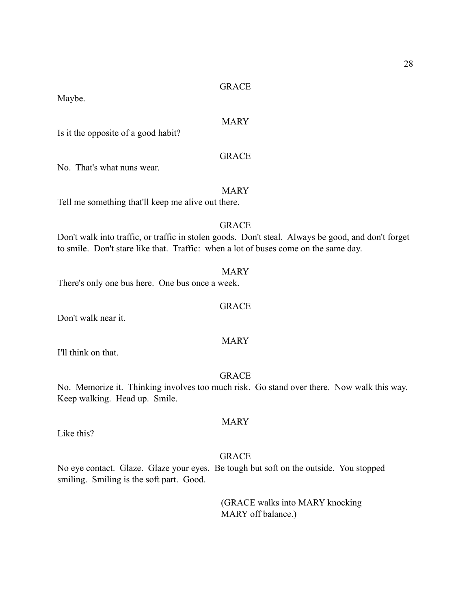Maybe.

## MARY

Is it the opposite of a good habit?

## GRACE

No. That's what nuns wear.

## MARY

Tell me something that'll keep me alive out there.

## GRACE

Don't walk into traffic, or traffic in stolen goods. Don't steal. Always be good, and don't forget to smile. Don't stare like that. Traffic: when a lot of buses come on the same day.

#### MARY

GRACE

There's only one bus here. One bus once a week.

Don't walk near it.

### MARY

I'll think on that.

## GRACE

No. Memorize it. Thinking involves too much risk. Go stand over there. Now walk this way. Keep walking. Head up. Smile.

Like this?

#### GRACE

MARY

No eye contact. Glaze. Glaze your eyes. Be tough but soft on the outside. You stopped smiling. Smiling is the soft part. Good.

> (GRACE walks into MARY knocking MARY off balance.)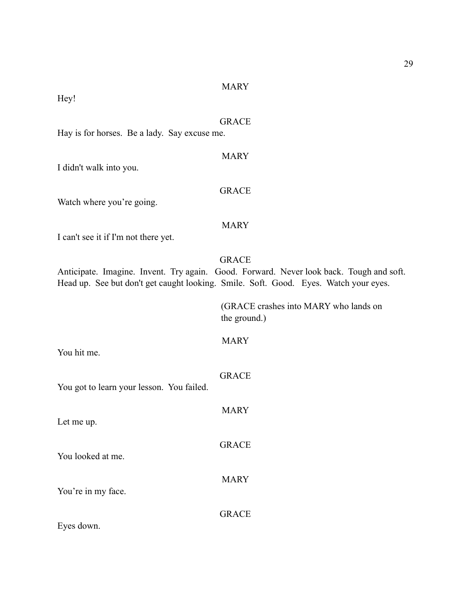#### MARY

Hey!

## GRACE

MARY

**GRACE** 

Hay is for horses. Be a lady. Say excuse me.

# I didn't walk into you.

Watch where you're going.

## MARY

I can't see it if I'm not there yet.

## GRACE

Anticipate. Imagine. Invent. Try again. Good. Forward. Never look back. Tough and soft. Head up. See but don't get caught looking. Smile. Soft. Good. Eyes. Watch your eyes.

> (GRACE crashes into MARY who lands on the ground.)

## MARY

GRACE

MARY

GRACE

MARY

You hit me.

# You got to learn your lesson. You failed.

Let me up.

You looked at me.

You're in my face.

GRACE

Eyes down.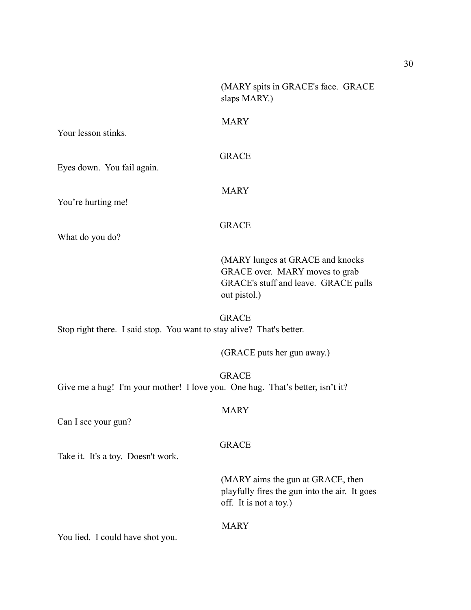(MARY spits in GRACE's face. GRACE slaps MARY.)

Your lesson stinks.

GRACE

MARY

Eyes down. You fail again.

You're hurting me!

GRACE

MARY

What do you do?

 (MARY lunges at GRACE and knocks GRACE over. MARY moves to grab GRACE's stuff and leave. GRACE pulls out pistol.)

GRACE Stop right there. I said stop. You want to stay alive? That's better.

(GRACE puts her gun away.)

GRACE Give me a hug! I'm your mother! I love you. One hug. That's better, isn't it?

MARY

Can I see your gun?

## GRACE

Take it. It's a toy. Doesn't work.

 (MARY aims the gun at GRACE, then playfully fires the gun into the air. It goes off. It is not a toy.)

## MARY

You lied. I could have shot you.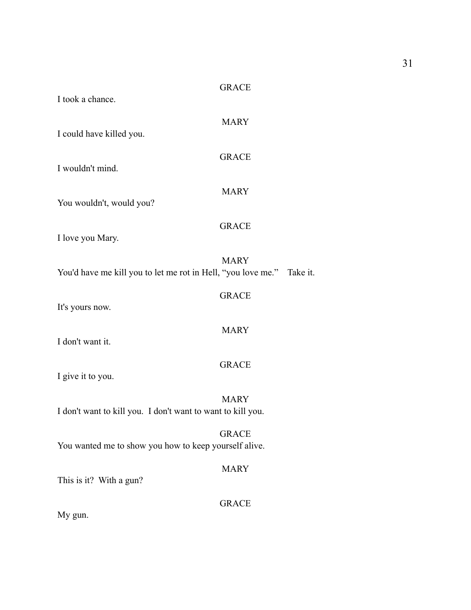| I took a chance.                                                      | <b>GRACE</b> |  |
|-----------------------------------------------------------------------|--------------|--|
| I could have killed you.                                              | <b>MARY</b>  |  |
|                                                                       | <b>GRACE</b> |  |
| I wouldn't mind.                                                      | <b>MARY</b>  |  |
| You wouldn't, would you?                                              | <b>GRACE</b> |  |
| I love you Mary.                                                      |              |  |
| You'd have me kill you to let me rot in Hell, "you love me." Take it. | <b>MARY</b>  |  |
| It's yours now.                                                       | <b>GRACE</b> |  |
| I don't want it.                                                      | <b>MARY</b>  |  |
|                                                                       | <b>GRACE</b> |  |
| I give it to you.                                                     | <b>MARY</b>  |  |
| I don't want to kill you. I don't want to want to kill you.           |              |  |
| You wanted me to show you how to keep yourself alive.                 | <b>GRACE</b> |  |
| This is it? With a gun?                                               | <b>MARY</b>  |  |
|                                                                       | <b>GRACE</b> |  |

My gun.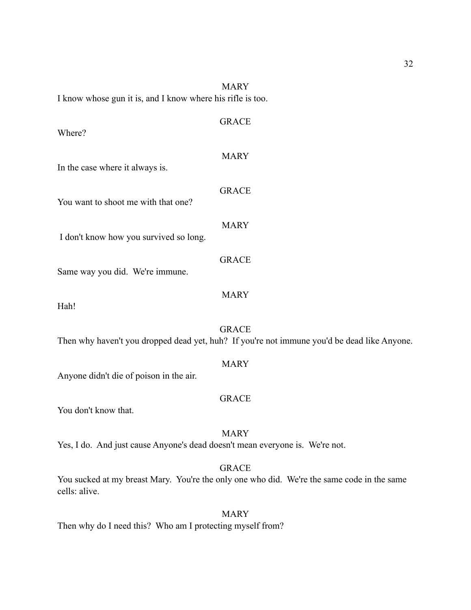| I know whose gun it is, and I know where his rifle is too. | <b>MARY</b>                                                                                                 |
|------------------------------------------------------------|-------------------------------------------------------------------------------------------------------------|
| Where?                                                     | <b>GRACE</b>                                                                                                |
| In the case where it always is.                            | <b>MARY</b>                                                                                                 |
| You want to shoot me with that one?                        | <b>GRACE</b>                                                                                                |
| I don't know how you survived so long.                     | <b>MARY</b>                                                                                                 |
| Same way you did. We're immune.                            | <b>GRACE</b>                                                                                                |
| Hah!                                                       | <b>MARY</b>                                                                                                 |
|                                                            | <b>GRACE</b><br>Then why haven't you dropped dead yet, huh? If you're not immune you'd be dead like Anyone. |
| Anyone didn't die of poison in the air.                    | <b>MARY</b>                                                                                                 |
| You don't know that.                                       | <b>GRACE</b>                                                                                                |
|                                                            | <b>MARY</b>                                                                                                 |

Yes, I do. And just cause Anyone's dead doesn't mean everyone is. We're not.

GRACE

You sucked at my breast Mary. You're the only one who did. We're the same code in the same cells: alive.

MARY Then why do I need this? Who am I protecting myself from?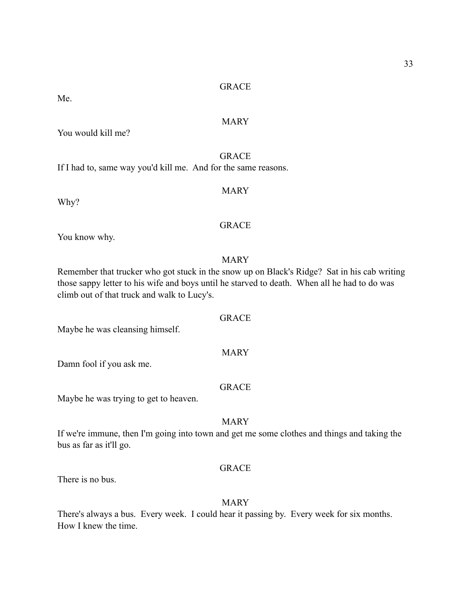Me.

## MARY

You would kill me?

GRACE If I had to, same way you'd kill me. And for the same reasons.

Why?

## **GRACE**

MARY

You know why.

## MARY

Remember that trucker who got stuck in the snow up on Black's Ridge? Sat in his cab writing those sappy letter to his wife and boys until he starved to death. When all he had to do was climb out of that truck and walk to Lucy's.

Maybe he was cleansing himself.

Damn fool if you ask me.

## **GRACE**

MARY

Maybe he was trying to get to heaven.

## MARY

If we're immune, then I'm going into town and get me some clothes and things and taking the bus as far as it'll go.

## **GRACE**

There is no bus.

#### MARY

There's always a bus. Every week. I could hear it passing by. Every week for six months. How I knew the time.

## GRACE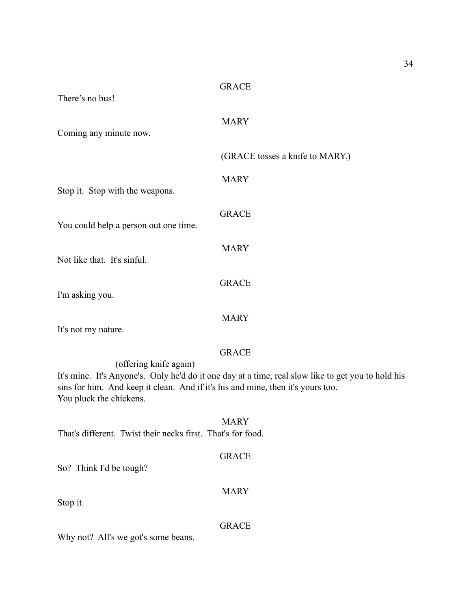| There's no bus!                                                                                                                                                                                                                                            |
|------------------------------------------------------------------------------------------------------------------------------------------------------------------------------------------------------------------------------------------------------------|
| <b>MARY</b><br>Coming any minute now.                                                                                                                                                                                                                      |
| (GRACE tosses a knife to MARY.)                                                                                                                                                                                                                            |
| <b>MARY</b><br>Stop it. Stop with the weapons.                                                                                                                                                                                                             |
| <b>GRACE</b><br>You could help a person out one time.                                                                                                                                                                                                      |
| <b>MARY</b><br>Not like that. It's sinful.                                                                                                                                                                                                                 |
| <b>GRACE</b><br>I'm asking you.                                                                                                                                                                                                                            |
| <b>MARY</b><br>It's not my nature.                                                                                                                                                                                                                         |
| <b>GRACE</b><br>(offering knife again)<br>It's mine. It's Anyone's. Only he'd do it one day at a time, real slow like to get you to hold his<br>sins for him. And keep it clean. And if it's his and mine, then it's yours too.<br>You pluck the chickens. |
| <b>MARY</b><br>That's different. Twist their necks first. That's for food.                                                                                                                                                                                 |
| <b>GRACE</b><br>So? Think I'd be tough?                                                                                                                                                                                                                    |
| <b>MARY</b><br>Stop it.                                                                                                                                                                                                                                    |
| <b>GRACE</b><br>Why not? All's we got's some beans.                                                                                                                                                                                                        |
|                                                                                                                                                                                                                                                            |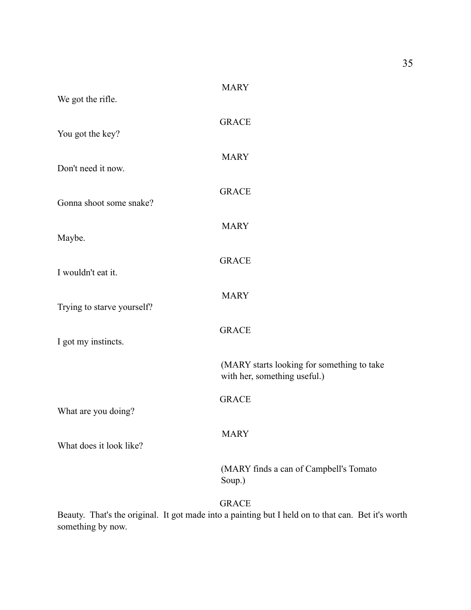| We got the rifle.          | <b>MARY</b>                                                                |
|----------------------------|----------------------------------------------------------------------------|
| You got the key?           | <b>GRACE</b>                                                               |
| Don't need it now.         | <b>MARY</b>                                                                |
| Gonna shoot some snake?    | <b>GRACE</b>                                                               |
| Maybe.                     | <b>MARY</b>                                                                |
| I wouldn't eat it.         | <b>GRACE</b>                                                               |
| Trying to starve yourself? | <b>MARY</b>                                                                |
| I got my instincts.        | <b>GRACE</b>                                                               |
|                            | (MARY starts looking for something to take<br>with her, something useful.) |
| What are you doing?        | <b>GRACE</b>                                                               |
| What does it look like?    | <b>MARY</b>                                                                |
|                            | (MARY finds a can of Campbell's Tomato<br>Soup.)                           |
|                            | <b>GRACE</b>                                                               |

Beauty. That's the original. It got made into a painting but I held on to that can. Bet it's worth something by now.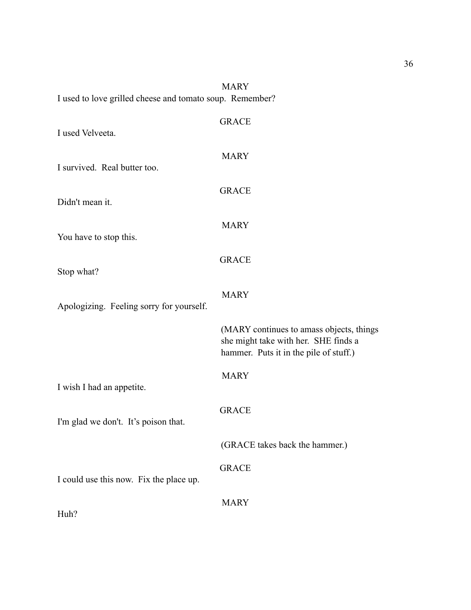| I used to love grilled cheese and tomato soup. Remember? | MARY                                                                                                                       |
|----------------------------------------------------------|----------------------------------------------------------------------------------------------------------------------------|
| I used Velveeta.                                         | <b>GRACE</b>                                                                                                               |
| I survived. Real butter too.                             | <b>MARY</b>                                                                                                                |
| Didn't mean it.                                          | <b>GRACE</b>                                                                                                               |
| You have to stop this.                                   | <b>MARY</b>                                                                                                                |
| Stop what?                                               | <b>GRACE</b>                                                                                                               |
| Apologizing. Feeling sorry for yourself.                 | <b>MARY</b>                                                                                                                |
|                                                          | (MARY continues to amass objects, things<br>she might take with her. SHE finds a<br>hammer. Puts it in the pile of stuff.) |
| I wish I had an appetite.                                | <b>MARY</b>                                                                                                                |
| I'm glad we don't. It's poison that.                     | <b>GRACE</b>                                                                                                               |
|                                                          | (GRACE takes back the hammer.)                                                                                             |
| I could use this now. Fix the place up.                  | <b>GRACE</b>                                                                                                               |
| Huh?                                                     | <b>MARY</b>                                                                                                                |

MADV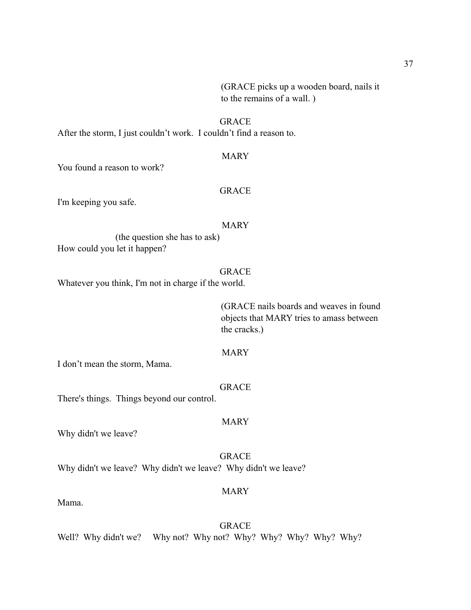(GRACE picks up a wooden board, nails it to the remains of a wall. )

## GRACE

After the storm, I just couldn't work. I couldn't find a reason to.

#### MARY

You found a reason to work?

## **GRACE**

I'm keeping you safe.

## MARY

 (the question she has to ask) How could you let it happen?

## **GRACE**

Whatever you think, I'm not in charge if the world.

 (GRACE nails boards and weaves in found objects that MARY tries to amass between the cracks.)

## MARY

I don't mean the storm, Mama.

#### GRACE

There's things. Things beyond our control.

#### MARY

Why didn't we leave?

GRACE Why didn't we leave? Why didn't we leave? Why didn't we leave?

#### MARY

Mama.

GRACE Well? Why didn't we? Why not? Why not? Why? Why? Why? Why? Why?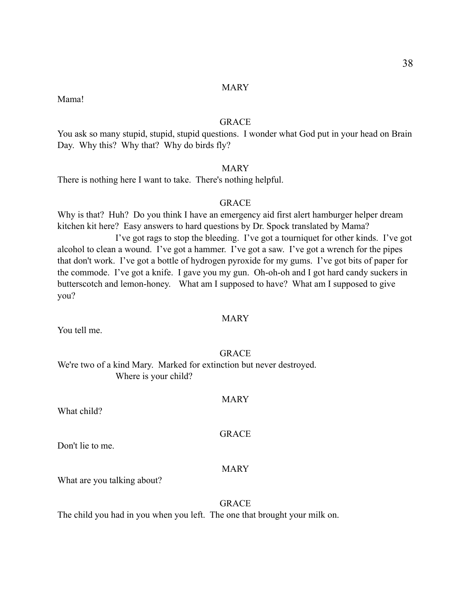MARY

Mama!

## **GRACE**

You ask so many stupid, stupid, stupid questions. I wonder what God put in your head on Brain Day. Why this? Why that? Why do birds fly?

## MARY

There is nothing here I want to take. There's nothing helpful.

## GRACE

Why is that? Huh? Do you think I have an emergency aid first alert hamburger helper dream kitchen kit here? Easy answers to hard questions by Dr. Spock translated by Mama? I've got rags to stop the bleeding. I've got a tourniquet for other kinds. I've got alcohol to clean a wound. I've got a hammer. I've got a saw. I've got a wrench for the pipes that don't work. I've got a bottle of hydrogen pyroxide for my gums. I've got bits of paper for the commode. I've got a knife. I gave you my gun. Oh-oh-oh and I got hard candy suckers in butterscotch and lemon-honey. What am I supposed to have? What am I supposed to give you?

## **MARY**

You tell me.

#### **GRACE**

We're two of a kind Mary. Marked for extinction but never destroyed. Where is your child?

## MARY

What child?

GRACE

Don't lie to me.

#### MARY

What are you talking about?

## GRACE

The child you had in you when you left. The one that brought your milk on.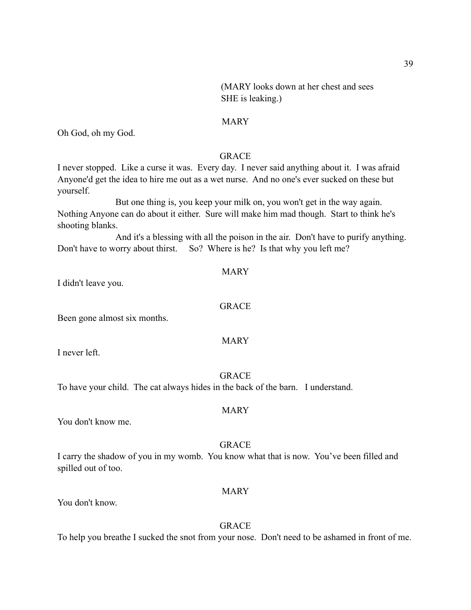(MARY looks down at her chest and sees SHE is leaking.)

#### MARY

Oh God, oh my God.

## GRACE

I never stopped. Like a curse it was. Every day. I never said anything about it. I was afraid Anyone'd get the idea to hire me out as a wet nurse. And no one's ever sucked on these but yourself.

 But one thing is, you keep your milk on, you won't get in the way again. Nothing Anyone can do about it either. Sure will make him mad though. Start to think he's shooting blanks.

 And it's a blessing with all the poison in the air. Don't have to purify anything. Don't have to worry about thirst. So? Where is he? Is that why you left me?

I didn't leave you.

## GRACE

MARY

MARY

Been gone almost six months.

I never left.

#### **GRACE**

MARY

To have your child. The cat always hides in the back of the barn. I understand.

You don't know me.

#### GRACE

I carry the shadow of you in my womb. You know what that is now. You've been filled and spilled out of too.

#### MARY

You don't know.

## GRACE

To help you breathe I sucked the snot from your nose. Don't need to be ashamed in front of me.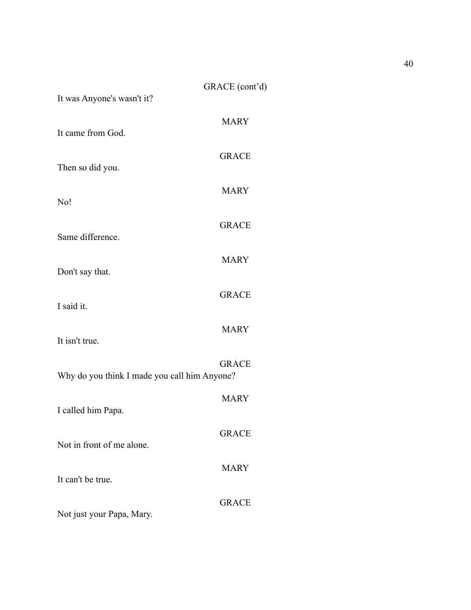| It was Anyone's wasn't it?                   | GRACE (cont'd) |
|----------------------------------------------|----------------|
| It came from God.                            | <b>MARY</b>    |
| Then so did you.                             | <b>GRACE</b>   |
| No!                                          | <b>MARY</b>    |
|                                              | <b>GRACE</b>   |
| Same difference.                             | <b>MARY</b>    |
| Don't say that.                              | <b>GRACE</b>   |
| I said it.                                   | <b>MARY</b>    |
| It isn't true.                               | <b>GRACE</b>   |
| Why do you think I made you call him Anyone? |                |
| I called him Papa.                           | <b>MARY</b>    |
| Not in front of me alone.                    | <b>GRACE</b>   |
| It can't be true.                            | <b>MARY</b>    |
| Not just your Papa, Mary.                    | <b>GRACE</b>   |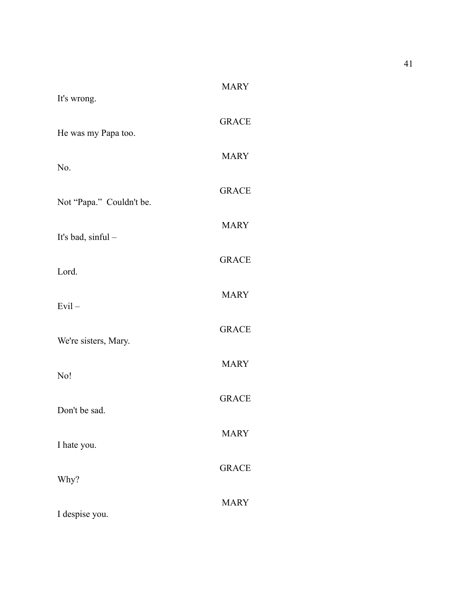| It's wrong.              | <b>MARY</b>  |
|--------------------------|--------------|
| He was my Papa too.      | <b>GRACE</b> |
| No.                      | <b>MARY</b>  |
| Not "Papa." Couldn't be. | <b>GRACE</b> |
| It's bad, sinful -       | <b>MARY</b>  |
| Lord.                    | <b>GRACE</b> |
| $Evil -$                 | <b>MARY</b>  |
| We're sisters, Mary.     | <b>GRACE</b> |
| No!                      | <b>MARY</b>  |
| Don't be sad.            | <b>GRACE</b> |
|                          | <b>MARY</b>  |
| I hate you.              | <b>GRACE</b> |
| Why?                     | <b>MARY</b>  |
| I despise you.           |              |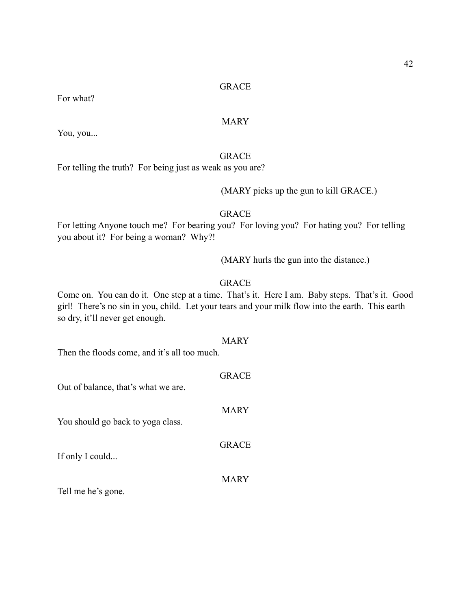## MARY

You, you...

For what?

## GRACE

For telling the truth? For being just as weak as you are?

(MARY picks up the gun to kill GRACE.)

## **GRACE**

For letting Anyone touch me? For bearing you? For loving you? For hating you? For telling you about it? For being a woman? Why?!

(MARY hurls the gun into the distance.)

## GRACE

Come on. You can do it. One step at a time. That's it. Here I am. Baby steps. That's it. Good girl! There's no sin in you, child. Let your tears and your milk flow into the earth. This earth so dry, it'll never get enough.

### MARY

GRACE

MARY

GRACE

MARY

Then the floods come, and it's all too much.

## Out of balance, that's what we are.

You should go back to yoga class.

If only I could...

Tell me he's gone.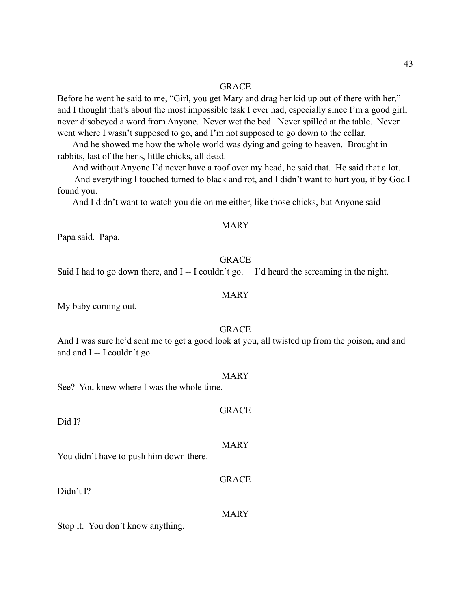Before he went he said to me, "Girl, you get Mary and drag her kid up out of there with her," and I thought that's about the most impossible task I ever had, especially since I'm a good girl, never disobeyed a word from Anyone. Never wet the bed. Never spilled at the table. Never went where I wasn't supposed to go, and I'm not supposed to go down to the cellar.

 And he showed me how the whole world was dying and going to heaven. Brought in rabbits, last of the hens, little chicks, all dead.

And without Anyone I'd never have a roof over my head, he said that. He said that a lot.

 And everything I touched turned to black and rot, and I didn't want to hurt you, if by God I found you.

And I didn't want to watch you die on me either, like those chicks, but Anyone said --

#### MARY

Papa said. Papa.

#### **GRACE**

Said I had to go down there, and I -- I couldn't go. I'd heard the screaming in the night.

#### MARY

My baby coming out.

#### GRACE

And I was sure he'd sent me to get a good look at you, all twisted up from the poison, and and and and I -- I couldn't go.

#### MARY

GRACE

MARY

GRACE

See? You knew where I was the whole time.

Did I?

You didn't have to push him down there.

Didn't I?

MARY

Stop it. You don't know anything.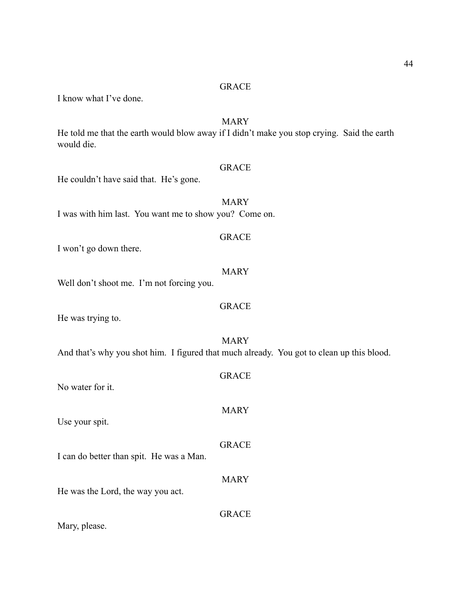I know what I've done.

## MARY

He told me that the earth would blow away if I didn't make you stop crying. Said the earth would die.

## GRACE

He couldn't have said that. He's gone.

MARY I was with him last. You want me to show you? Come on.

#### GRACE

I won't go down there.

## MARY

GRACE

Well don't shoot me. I'm not forcing you.

He was trying to.

MARY And that's why you shot him. I figured that much already. You got to clean up this blood.

| No water for it                          | <b>GRACE</b> |
|------------------------------------------|--------------|
| Use your spit.                           | <b>MARY</b>  |
| I can do better than spit. He was a Man. | <b>GRACE</b> |
| He was the Lord, the way you act.        | <b>MARY</b>  |
| Mary, please.                            | <b>GRACE</b> |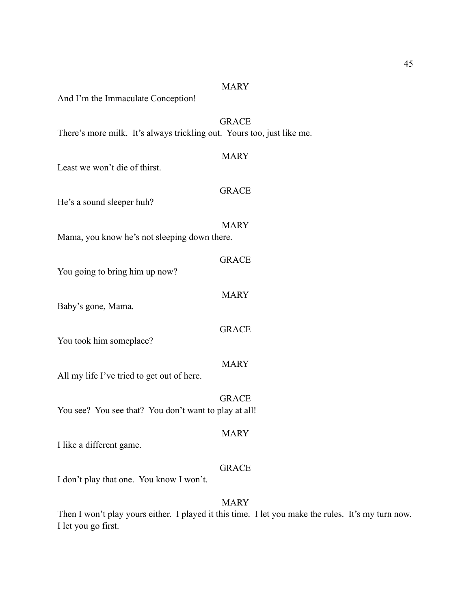## MARY

And I'm the Immaculate Conception!

## GRACE

There's more milk. It's always trickling out. Yours too, just like me.

| <b>MARY</b>                                                           |
|-----------------------------------------------------------------------|
| <b>GRACE</b>                                                          |
| <b>MARY</b><br>Mama, you know he's not sleeping down there.           |
| <b>GRACE</b>                                                          |
| <b>MARY</b>                                                           |
| <b>GRACE</b>                                                          |
| <b>MARY</b>                                                           |
| <b>GRACE</b><br>You see? You see that? You don't want to play at all! |
| <b>MARY</b>                                                           |
| <b>GRACE</b>                                                          |
|                                                                       |

## MARY

Then I won't play yours either. I played it this time. I let you make the rules. It's my turn now. I let you go first.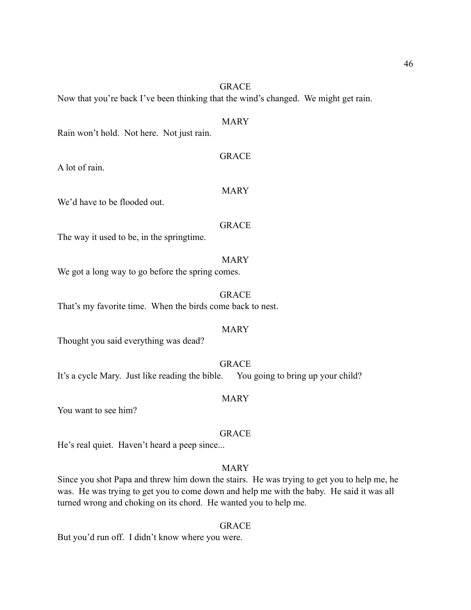Now that you're back I've been thinking that the wind's changed. We might get rain.

## MARY

Rain won't hold. Not here. Not just rain.

#### GRACE

MARY

A lot of rain.

We'd have to be flooded out.

## **GRACE**

The way it used to be, in the springtime.

## MARY

We got a long way to go before the spring comes.

## GRACE That's my favorite time. When the birds come back to nest.

#### MARY

Thought you said everything was dead?

GRACE

It's a cycle Mary. Just like reading the bible. You going to bring up your child?

## MARY

You want to see him?

#### GRACE

He's real quiet. Haven't heard a peep since...

## MARY

Since you shot Papa and threw him down the stairs. He was trying to get you to help me, he was. He was trying to get you to come down and help me with the baby. He said it was all turned wrong and choking on its chord. He wanted you to help me.

## **GRACE**

But you'd run off. I didn't know where you were.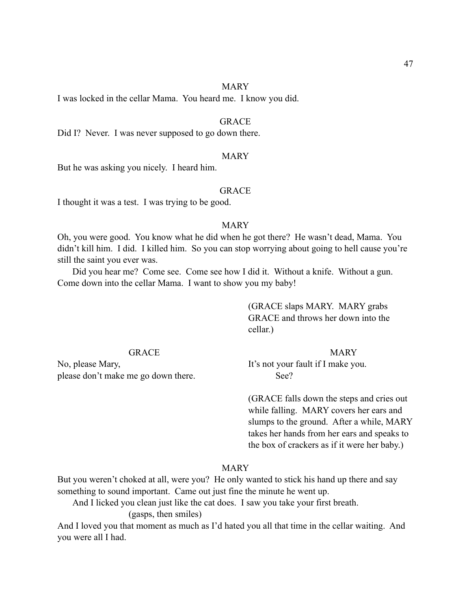#### MARY

I was locked in the cellar Mama. You heard me. I know you did.

#### GRACE

Did I? Never. I was never supposed to go down there.

#### MARY

But he was asking you nicely. I heard him.

## GRACE

I thought it was a test. I was trying to be good.

#### MARY

Oh, you were good. You know what he did when he got there? He wasn't dead, Mama. You didn't kill him. I did. I killed him. So you can stop worrying about going to hell cause you're still the saint you ever was.

 Did you hear me? Come see. Come see how I did it. Without a knife. Without a gun. Come down into the cellar Mama. I want to show you my baby!

## (GRACE slaps MARY. MARY grabs GRACE and throws her down into the cellar.)

#### GRACE MARY

No, please Mary, It's not your fault if I make you. please don't make me go down there. See?

 (GRACE falls down the steps and cries out while falling. MARY covers her ears and slumps to the ground. After a while, MARY takes her hands from her ears and speaks to the box of crackers as if it were her baby.)

## MARY

But you weren't choked at all, were you? He only wanted to stick his hand up there and say something to sound important. Came out just fine the minute he went up.

And I licked you clean just like the cat does. I saw you take your first breath.

(gasps, then smiles)

And I loved you that moment as much as I'd hated you all that time in the cellar waiting. And you were all I had.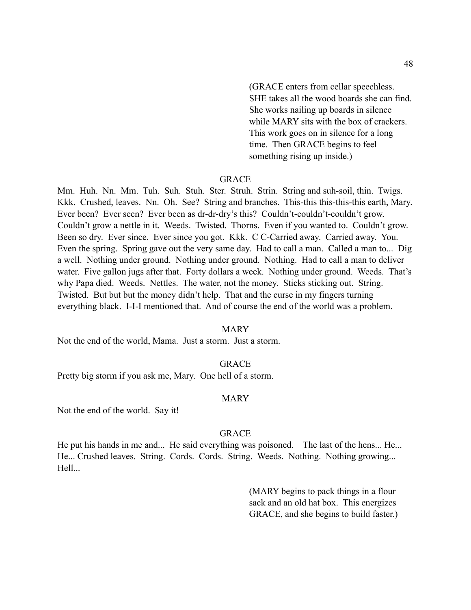(GRACE enters from cellar speechless. SHE takes all the wood boards she can find. She works nailing up boards in silence while MARY sits with the box of crackers. This work goes on in silence for a long time. Then GRACE begins to feel something rising up inside.)

#### GRACE

Mm. Huh. Nn. Mm. Tuh. Suh. Stuh. Ster. Struh. Strin. String and suh-soil, thin. Twigs. Kkk. Crushed, leaves. Nn. Oh. See? String and branches. This-this this-this-this earth, Mary. Ever been? Ever seen? Ever been as dr-dr-dry's this? Couldn't-couldn't-couldn't grow. Couldn't grow a nettle in it. Weeds. Twisted. Thorns. Even if you wanted to. Couldn't grow. Been so dry. Ever since. Ever since you got. Kkk. C C-Carried away. Carried away. You. Even the spring. Spring gave out the very same day. Had to call a man. Called a man to... Dig a well. Nothing under ground. Nothing under ground. Nothing. Had to call a man to deliver water. Five gallon jugs after that. Forty dollars a week. Nothing under ground. Weeds. That's why Papa died. Weeds. Nettles. The water, not the money. Sticks sticking out. String. Twisted. But but but the money didn't help. That and the curse in my fingers turning everything black. I-I-I mentioned that. And of course the end of the world was a problem.

#### MARY

Not the end of the world, Mama. Just a storm. Just a storm.

#### GRACE

Pretty big storm if you ask me, Mary. One hell of a storm.

#### MARY

Not the end of the world. Say it!

#### GRACE

He put his hands in me and... He said everything was poisoned. The last of the hens... He... He... Crushed leaves. String. Cords. Cords. String. Weeds. Nothing. Nothing growing... Hell...

> (MARY begins to pack things in a flour sack and an old hat box. This energizes GRACE, and she begins to build faster.)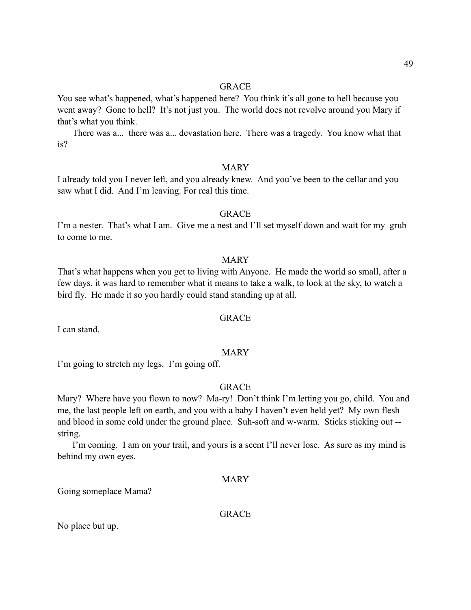You see what's happened, what's happened here? You think it's all gone to hell because you went away? Gone to hell? It's not just you. The world does not revolve around you Mary if that's what you think.

 There was a... there was a... devastation here. There was a tragedy. You know what that is?

## MARY

I already told you I never left, and you already knew. And you've been to the cellar and you saw what I did. And I'm leaving. For real this time.

#### **GRACE**

I'm a nester. That's what I am. Give me a nest and I'll set myself down and wait for my grub to come to me.

#### MARY

That's what happens when you get to living with Anyone. He made the world so small, after a few days, it was hard to remember what it means to take a walk, to look at the sky, to watch a bird fly. He made it so you hardly could stand standing up at all.

## **GRACE**

I can stand.

#### MARY

I'm going to stretch my legs. I'm going off.

## **GRACE**

Mary? Where have you flown to now? Ma-ry! Don't think I'm letting you go, child. You and me, the last people left on earth, and you with a baby I haven't even held yet? My own flesh and blood in some cold under the ground place. Suh-soft and w-warm. Sticks sticking out - string.

 I'm coming. I am on your trail, and yours is a scent I'll never lose. As sure as my mind is behind my own eyes.

## MARY

Going someplace Mama?

## **GRACE**

No place but up.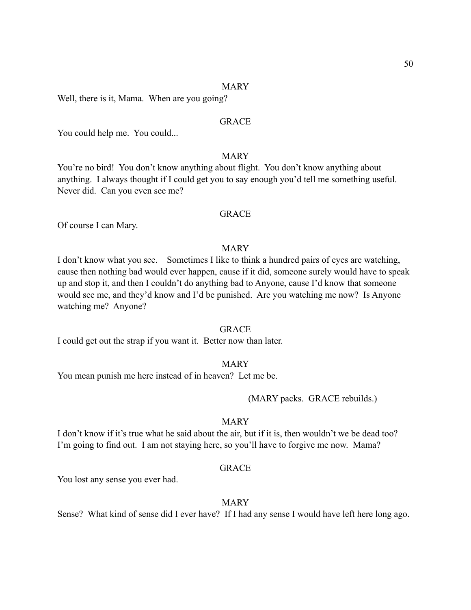#### MARY

Well, there is it, Mama. When are you going?

## **GRACE**

You could help me. You could...

## MARY

You're no bird! You don't know anything about flight. You don't know anything about anything. I always thought if I could get you to say enough you'd tell me something useful. Never did. Can you even see me?

## **GRACE**

Of course I can Mary.

#### MARY

I don't know what you see. Sometimes I like to think a hundred pairs of eyes are watching, cause then nothing bad would ever happen, cause if it did, someone surely would have to speak up and stop it, and then I couldn't do anything bad to Anyone, cause I'd know that someone would see me, and they'd know and I'd be punished. Are you watching me now? Is Anyone watching me? Anyone?

#### **GRACE**

I could get out the strap if you want it. Better now than later.

#### MARY

You mean punish me here instead of in heaven? Let me be.

(MARY packs. GRACE rebuilds.)

## MARY

I don't know if it's true what he said about the air, but if it is, then wouldn't we be dead too? I'm going to find out. I am not staying here, so you'll have to forgive me now. Mama?

#### **GRACE**

You lost any sense you ever had.

#### MARY

Sense? What kind of sense did I ever have? If I had any sense I would have left here long ago.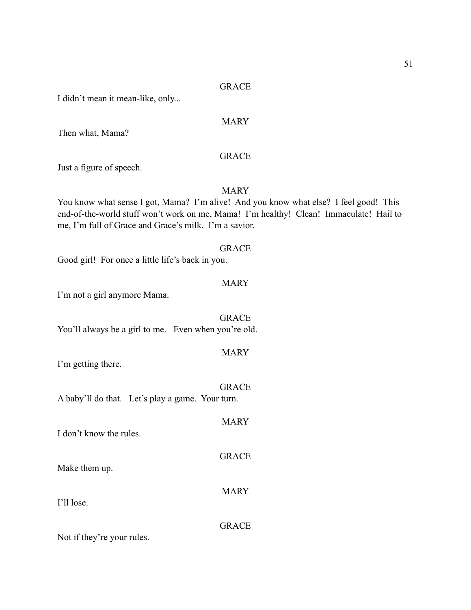I didn't mean it mean-like, only...

## MARY

Then what, Mama?

## GRACE

Just a figure of speech.

## **MARY**

You know what sense I got, Mama? I'm alive! And you know what else? I feel good! This end-of-the-world stuff won't work on me, Mama! I'm healthy! Clean! Immaculate! Hail to me, I'm full of Grace and Grace's milk. I'm a savior.

#### GRACE

Good girl! For once a little life's back in you.

#### MARY

I'm not a girl anymore Mama.

GRACE You'll always be a girl to me. Even when you're old.

## MARY

**GRACE** 

I'm getting there.

|                         | A baby'll do that. Let's play a game. Your turn. | <b>GRACE</b> |
|-------------------------|--------------------------------------------------|--------------|
| I don't know the rules. |                                                  | <b>MARY</b>  |
| Make them up.           |                                                  | <b>GRACE</b> |
| I'll lose               |                                                  | <b>MARY</b>  |

Not if they're your rules.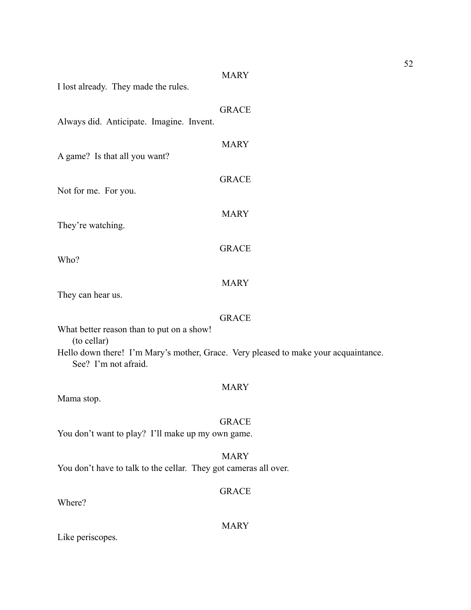# MARY I lost already. They made the rules. GRACE Always did. Anticipate. Imagine. Invent. MARY A game? Is that all you want? GRACE Not for me. For you. MARY They're watching. GRACE Who? MARY They can hear us. GRACE What better reason than to put on a show! (to cellar) Hello down there! I'm Mary's mother, Grace. Very pleased to make your acquaintance. See? I'm not afraid. MARY Mama stop. GRACE You don't want to play? I'll make up my own game. MARY You don't have to talk to the cellar. They got cameras all over. GRACE Where?

MARY

Like periscopes.

52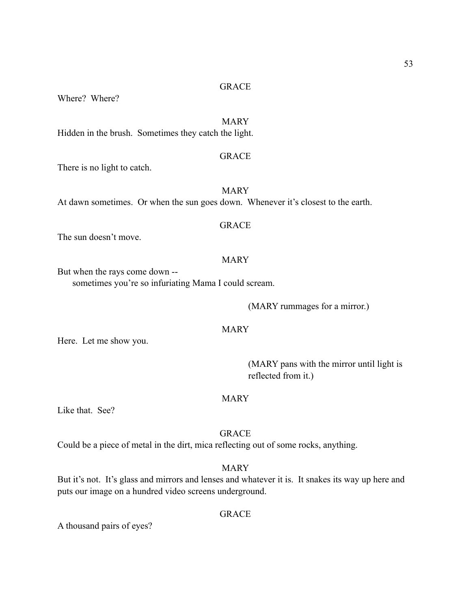Where? Where?

## MARY

Hidden in the brush. Sometimes they catch the light.

#### GRACE

There is no light to catch.

MARY At dawn sometimes. Or when the sun goes down. Whenever it's closest to the earth.

## GRACE

The sun doesn't move.

## MARY

But when the rays come down - sometimes you're so infuriating Mama I could scream.

(MARY rummages for a mirror.)

#### MARY

Here. Let me show you.

 (MARY pans with the mirror until light is reflected from it.)

## MARY

Like that. See?

## GRACE

Could be a piece of metal in the dirt, mica reflecting out of some rocks, anything.

## MARY

But it's not. It's glass and mirrors and lenses and whatever it is. It snakes its way up here and puts our image on a hundred video screens underground.

## **GRACE**

A thousand pairs of eyes?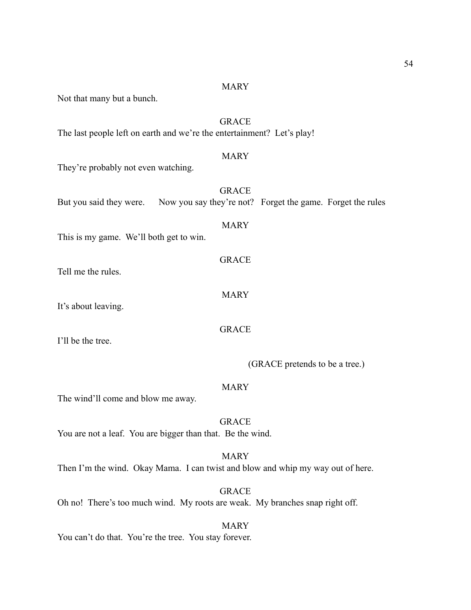#### MARY

Not that many but a bunch.

## GRACE

The last people left on earth and we're the entertainment? Let's play!

## MARY

MARY

GRACE

MARY

GRACE

They're probably not even watching.

| <b>GRACE</b>                                                                       |  |
|------------------------------------------------------------------------------------|--|
| But you said they were. Now you say they're not? Forget the game. Forget the rules |  |

## This is my game. We'll both get to win.

Tell me the rules.

It's about leaving.

I'll be the tree.

(GRACE pretends to be a tree.)

#### MARY

The wind'll come and blow me away.

GRACE You are not a leaf. You are bigger than that. Be the wind.

#### MARY

Then I'm the wind. Okay Mama. I can twist and blow and whip my way out of here.

GRACE Oh no! There's too much wind. My roots are weak. My branches snap right off.

MARY You can't do that. You're the tree. You stay forever.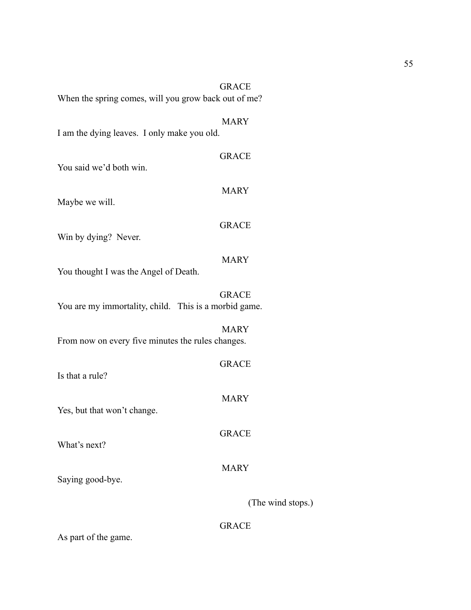|                                                       | <b>GRACE</b>      |
|-------------------------------------------------------|-------------------|
| When the spring comes, will you grow back out of me?  |                   |
|                                                       |                   |
|                                                       | <b>MARY</b>       |
| I am the dying leaves. I only make you old.           |                   |
|                                                       | <b>GRACE</b>      |
| You said we'd both win.                               |                   |
|                                                       |                   |
|                                                       | <b>MARY</b>       |
| Maybe we will.                                        |                   |
|                                                       | <b>GRACE</b>      |
| Win by dying? Never.                                  |                   |
|                                                       |                   |
|                                                       | <b>MARY</b>       |
| You thought I was the Angel of Death.                 |                   |
|                                                       | <b>GRACE</b>      |
| You are my immortality, child. This is a morbid game. |                   |
|                                                       |                   |
|                                                       | <b>MARY</b>       |
| From now on every five minutes the rules changes.     |                   |
|                                                       | <b>GRACE</b>      |
| Is that a rule?                                       |                   |
|                                                       |                   |
|                                                       | <b>MARY</b>       |
| Yes, but that won't change.                           |                   |
|                                                       | <b>GRACE</b>      |
| What's next?                                          |                   |
|                                                       |                   |
| Saying good-bye.                                      | <b>MARY</b>       |
|                                                       |                   |
|                                                       | (The wind stops.) |
|                                                       |                   |
|                                                       | <b>GRACE</b>      |

As part of the game.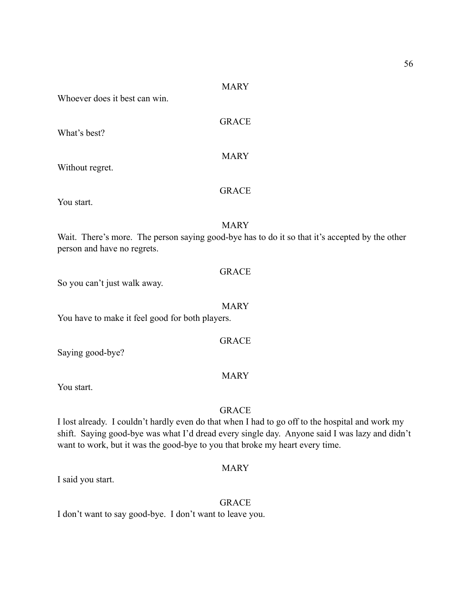#### MARY

GRACE

MARY

**GRACE** 

Whoever does it best can win.

What's best?

Without regret.

You start.

#### **MARY**

Wait. There's more. The person saying good-bye has to do it so that it's accepted by the other person and have no regrets.

## GRACE

So you can't just walk away.

MARY

GRACE

You have to make it feel good for both players.

Saying good-bye?

#### MARY

You start.

## GRACE

I lost already. I couldn't hardly even do that when I had to go off to the hospital and work my shift. Saying good-bye was what I'd dread every single day. Anyone said I was lazy and didn't want to work, but it was the good-bye to you that broke my heart every time.

## MARY

I said you start.

#### GRACE

I don't want to say good-bye. I don't want to leave you.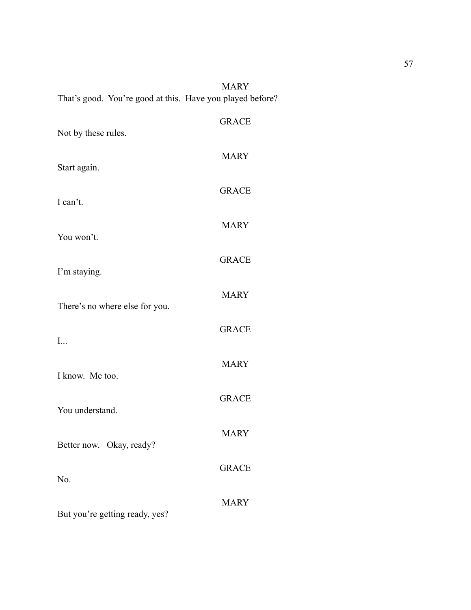|  | <b>MARY</b>                                               |
|--|-----------------------------------------------------------|
|  | That's good. You're good at this. Have you played before? |

| Not by these rules.            | <b>GRACE</b> |
|--------------------------------|--------------|
| Start again.                   | <b>MARY</b>  |
| I can't.                       | <b>GRACE</b> |
| You won't.                     | <b>MARY</b>  |
|                                | <b>GRACE</b> |
| I'm staying.                   | <b>MARY</b>  |
| There's no where else for you. | <b>GRACE</b> |
| I                              | <b>MARY</b>  |
| I know. Me too.                | <b>GRACE</b> |
| You understand.                | <b>MARY</b>  |
| Better now. Okay, ready?       | <b>GRACE</b> |
| No.                            | <b>MARY</b>  |
| But you're getting ready, yes? |              |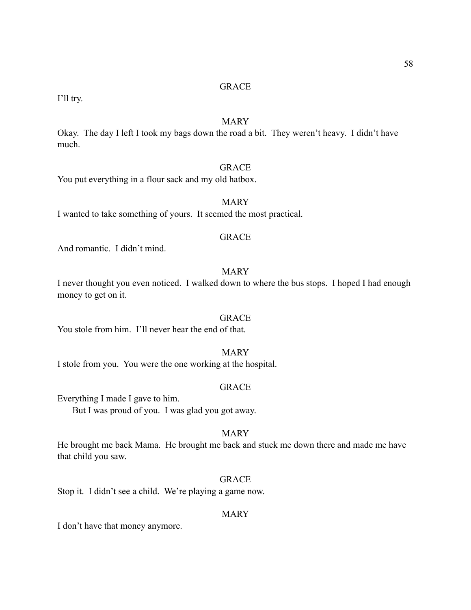I'll try.

## MARY

Okay. The day I left I took my bags down the road a bit. They weren't heavy. I didn't have much.

## GRACE

You put everything in a flour sack and my old hatbox.

## MARY

I wanted to take something of yours. It seemed the most practical.

#### GRACE

And romantic. I didn't mind.

## MARY

I never thought you even noticed. I walked down to where the bus stops. I hoped I had enough money to get on it.

## **GRACE**

You stole from him. I'll never hear the end of that.

## MARY

I stole from you. You were the one working at the hospital.

### **GRACE**

Everything I made I gave to him.

But I was proud of you. I was glad you got away.

## MARY

He brought me back Mama. He brought me back and stuck me down there and made me have that child you saw.

## GRACE

Stop it. I didn't see a child. We're playing a game now.

## MARY

I don't have that money anymore.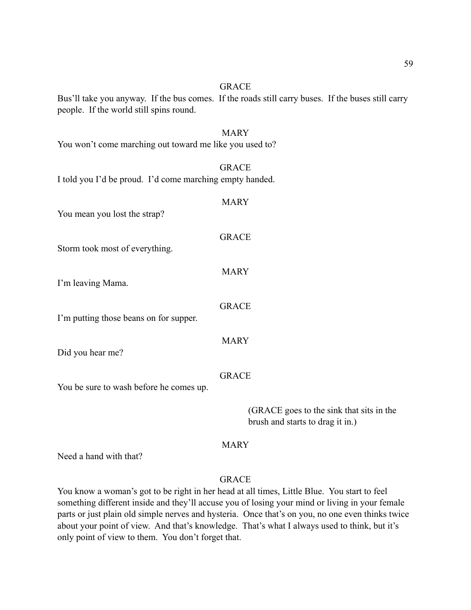Bus'll take you anyway. If the bus comes. If the roads still carry buses. If the buses still carry people. If the world still spins round.

# MARY You won't come marching out toward me like you used to? **GRACE** I told you I'd be proud. I'd come marching empty handed. MARY You mean you lost the strap? GRACE Storm took most of everything.

I'm leaving Mama.

I'm putting those beans on for supper.

Did you hear me?

#### GRACE

MARY

GRACE

MARY

You be sure to wash before he comes up.

 (GRACE goes to the sink that sits in the brush and starts to drag it in.)

## MARY

Need a hand with that?

## GRACE

You know a woman's got to be right in her head at all times, Little Blue. You start to feel something different inside and they'll accuse you of losing your mind or living in your female parts or just plain old simple nerves and hysteria. Once that's on you, no one even thinks twice about your point of view. And that's knowledge. That's what I always used to think, but it's only point of view to them. You don't forget that.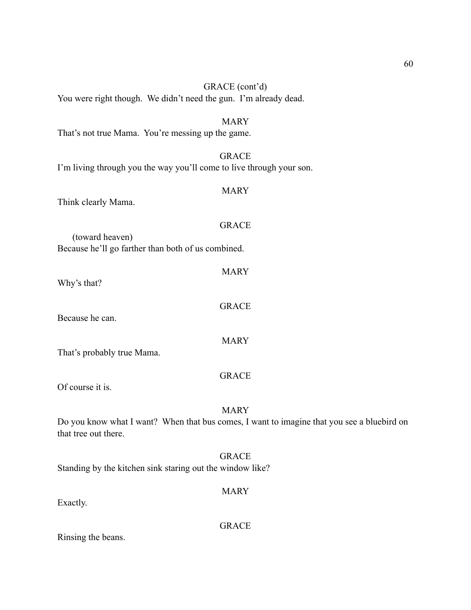| You were right though. We didn't need the gun. I'm already dead.                                                                  |
|-----------------------------------------------------------------------------------------------------------------------------------|
| <b>MARY</b><br>That's not true Mama. You're messing up the game.                                                                  |
| <b>GRACE</b><br>I'm living through you the way you'll come to live through your son.                                              |
| <b>MARY</b><br>Think clearly Mama.                                                                                                |
| <b>GRACE</b><br>(toward heaven)<br>Because he'll go farther than both of us combined.                                             |
| <b>MARY</b><br>Why's that?                                                                                                        |
| <b>GRACE</b><br>Because he can.                                                                                                   |
| <b>MARY</b><br>That's probably true Mama.                                                                                         |
| <b>GRACE</b><br>Of course it is.                                                                                                  |
| <b>MARY</b><br>Do you know what I want? When that bus comes, I want to imagine that you see a bluebird on<br>that tree out there. |
| <b>GRACE</b><br>Standing by the kitchen sink staring out the window like?                                                         |
| <b>MARY</b><br>Exactly.                                                                                                           |

GRACE (cont'd)

Rinsing the beans.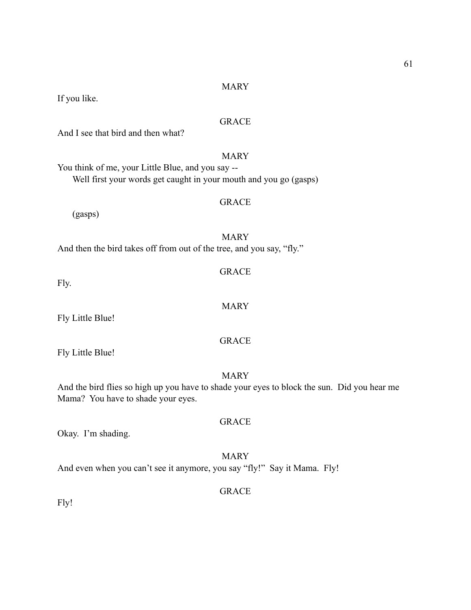#### MARY

If you like.

## GRACE

And I see that bird and then what?

## MARY

You think of me, your Little Blue, and you say -- Well first your words get caught in your mouth and you go (gasps)

(gasps)

MARY And then the bird takes off from out of the tree, and you say, "fly."

Fly.

Fly Little Blue!

Fly Little Blue!

#### MARY

GRACE

GRACE

And the bird flies so high up you have to shade your eyes to block the sun. Did you hear me Mama? You have to shade your eyes.

Okay. I'm shading.

## MARY

And even when you can't see it anymore, you say "fly!" Say it Mama. Fly!

## **GRACE**

Fly!

## **GRACE**

MARY

GRACE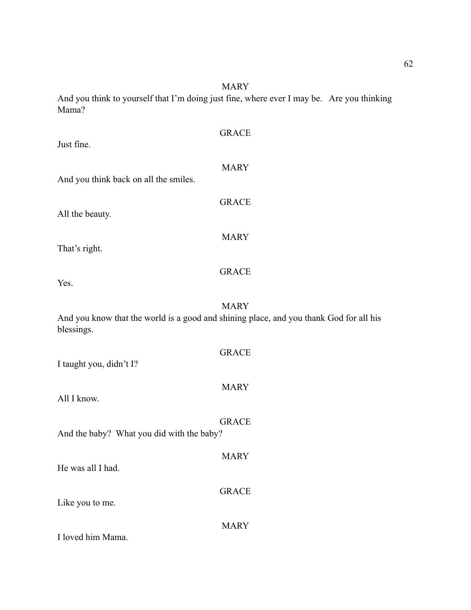And you think to yourself that I'm doing just fine, where ever I may be. Are you thinking Mama?

| Just fine.                                | <b>GRACE</b>                                                                                          |
|-------------------------------------------|-------------------------------------------------------------------------------------------------------|
| And you think back on all the smiles.     | <b>MARY</b>                                                                                           |
| All the beauty.                           | <b>GRACE</b>                                                                                          |
| That's right.                             | <b>MARY</b>                                                                                           |
| Yes.                                      | <b>GRACE</b>                                                                                          |
| blessings.                                | <b>MARY</b><br>And you know that the world is a good and shining place, and you thank God for all his |
| I taught you, didn't I?                   | <b>GRACE</b>                                                                                          |
| All I know.                               | <b>MARY</b>                                                                                           |
| And the baby? What you did with the baby? | <b>GRACE</b>                                                                                          |
| He was all I had.                         | <b>MARY</b>                                                                                           |
| Like you to me.                           | <b>GRACE</b>                                                                                          |
| I loved him Mama.                         | <b>MARY</b>                                                                                           |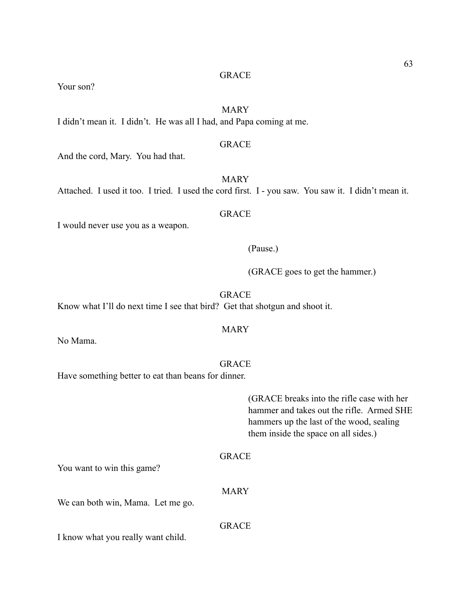Your son?

## MARY

I didn't mean it. I didn't. He was all I had, and Papa coming at me.

## GRACE

And the cord, Mary. You had that.

Attached. I used it too. I tried. I used the cord first. I - you saw. You saw it. I didn't mean it.

## **GRACE**

I would never use you as a weapon.

#### (Pause.)

(GRACE goes to get the hammer.)

## GRACE

Know what I'll do next time I see that bird? Get that shotgun and shoot it.

#### MARY

No Mama.

#### GRACE

Have something better to eat than beans for dinner.

 (GRACE breaks into the rifle case with her hammer and takes out the rifle. Armed SHE hammers up the last of the wood, sealing them inside the space on all sides.)

## GRACE

You want to win this game?

#### MARY

We can both win, Mama. Let me go.

## GRACE

I know what you really want child.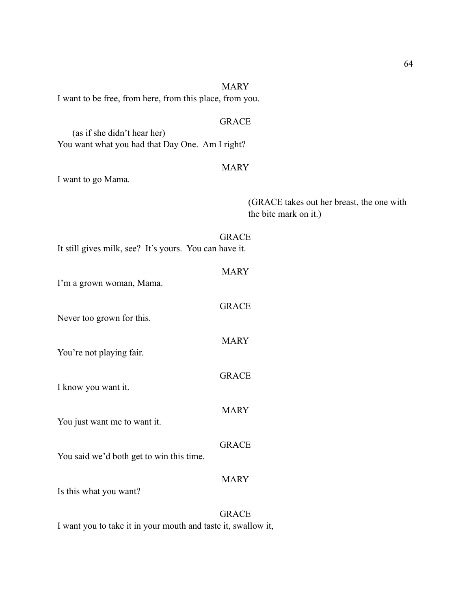| I want to be free, from here, from this place, from you.                       |                                                                    |
|--------------------------------------------------------------------------------|--------------------------------------------------------------------|
|                                                                                | <b>GRACE</b>                                                       |
| (as if she didn't hear her)<br>You want what you had that Day One. Am I right? |                                                                    |
|                                                                                | <b>MARY</b>                                                        |
| I want to go Mama.                                                             |                                                                    |
|                                                                                | (GRACE takes out her breast, the one with<br>the bite mark on it.) |
| It still gives milk, see? It's yours. You can have it.                         | <b>GRACE</b>                                                       |
|                                                                                | <b>MARY</b>                                                        |
| I'm a grown woman, Mama.                                                       |                                                                    |
|                                                                                | <b>GRACE</b>                                                       |
| Never too grown for this.                                                      |                                                                    |
| You're not playing fair.                                                       | <b>MARY</b>                                                        |
|                                                                                |                                                                    |
| I know you want it.                                                            | <b>GRACE</b>                                                       |
|                                                                                | <b>MARY</b>                                                        |
| You just want me to want it.                                                   |                                                                    |
|                                                                                | <b>GRACE</b>                                                       |
| You said we'd both get to win this time.                                       |                                                                    |
|                                                                                | <b>MARY</b>                                                        |
| Is this what you want?                                                         |                                                                    |
| I want you to take it in your mouth and taste it, swallow it,                  | <b>GRACE</b>                                                       |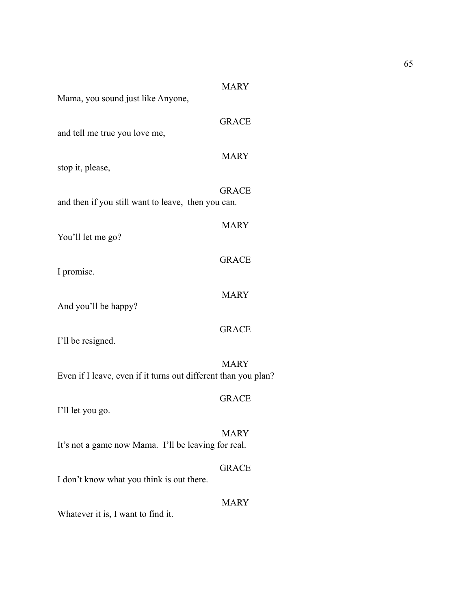65

| Mama, you sound just like Anyone,                              | <b>MARY</b>  |
|----------------------------------------------------------------|--------------|
| and tell me true you love me,                                  | <b>GRACE</b> |
| stop it, please,                                               | <b>MARY</b>  |
| and then if you still want to leave, then you can.             | <b>GRACE</b> |
| You'll let me go?                                              | <b>MARY</b>  |
| I promise.                                                     | <b>GRACE</b> |
| And you'll be happy?                                           | <b>MARY</b>  |
| I'll be resigned.                                              | <b>GRACE</b> |
| Even if I leave, even if it turns out different than you plan? | <b>MARY</b>  |
| I'll let you go.                                               | <b>GRACE</b> |
| It's not a game now Mama. I'll be leaving for real.            | MARY         |
| I don't know what you think is out there.                      | <b>GRACE</b> |
| Whatever it is, I want to find it.                             | <b>MARY</b>  |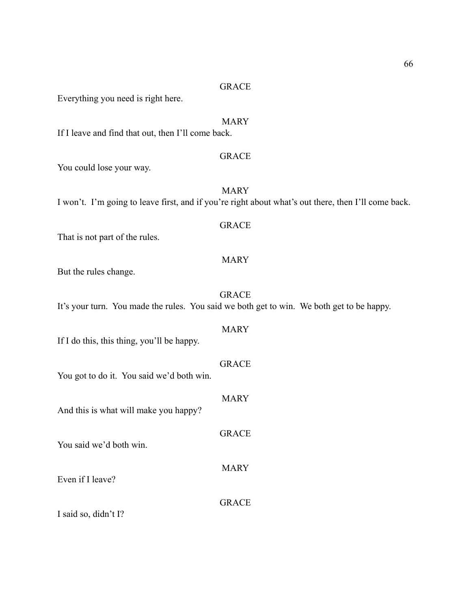Everything you need is right here.

## MARY

If I leave and find that out, then I'll come back.

#### GRACE

You could lose your way.

MARY I won't. I'm going to leave first, and if you're right about what's out there, then I'll come back.

## GRACE

That is not part of the rules.

## MARY

But the rules change.

## GRACE

It's your turn. You made the rules. You said we both get to win. We both get to be happy.

# MARY

If I do this, this thing, you'll be happy.

## GRACE

You got to do it. You said we'd both win.

# MARY And this is what will make you happy? GRACE You said we'd both win. MARY Even if I leave? GRACE

I said so, didn't I?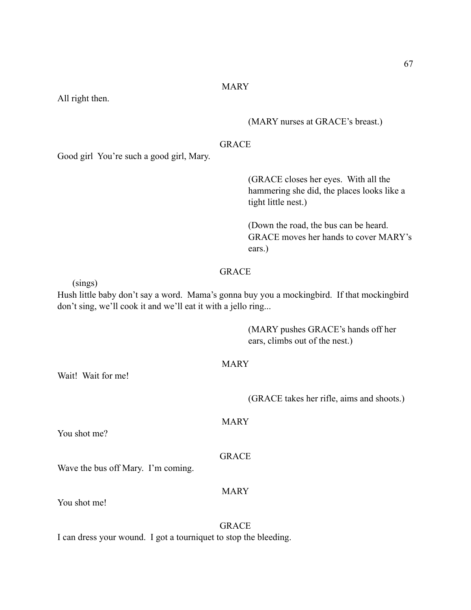## MARY

All right then.

## (MARY nurses at GRACE's breast.)

## GRACE

Good girl You're such a good girl, Mary.

 (GRACE closes her eyes. With all the hammering she did, the places looks like a tight little nest.)

 (Down the road, the bus can be heard. GRACE moves her hands to cover MARY's ears.)

## GRACE

(sings)

Hush little baby don't say a word. Mama's gonna buy you a mockingbird. If that mockingbird don't sing, we'll cook it and we'll eat it with a jello ring...

> (MARY pushes GRACE's hands off her ears, climbs out of the nest.)

#### MARY

Wait! Wait for me!

(GRACE takes her rifle, aims and shoots.)

You shot me?

#### GRACE

MARY

Wave the bus off Mary. I'm coming.

#### MARY

You shot me!

GRACE I can dress your wound. I got a tourniquet to stop the bleeding.